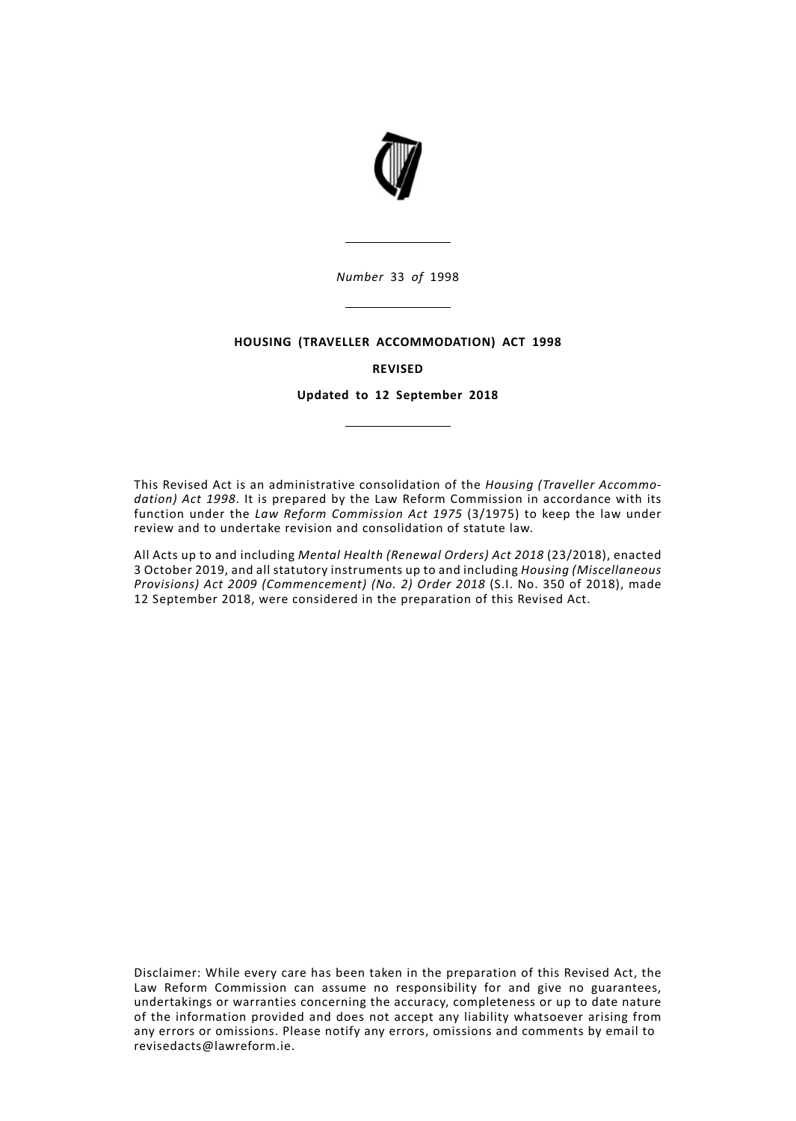

*Number* 33 *of* 1998

## **HOUSING (TRAVELLER ACCOMMODATION) ACT 1998**

## **REVISED**

**Updated to 12 September 2018**

This Revised Act is an administrative consolidation of the *Housing (Traveller Accommodation) Act 1998*. It is prepared by the Law Reform Commission in accordance with its function under the *Law Reform Commission Act 1975* (3/1975) to keep the law under review and to undertake revision and consolidation of statute law.

All Acts up to and including *Mental Health (Renewal Orders) Act 2018* (23/2018), enacted 3 October 2019, and all statutory instruments up to and including *Housing (Miscellaneous Provisions) Act 2009 (Commencement) (No. 2) Order 2018* (S.I. No. 350 of 2018), made 12 September 2018, were considered in the preparation of this Revised Act.

Disclaimer: While every care has been taken in the preparation of this Revised Act, the Law Reform Commission can assume no responsibility for and give no guarantees, undertakings or warranties concerning the accuracy, completeness or up to date nature of the information provided and does not accept any liability whatsoever arising from any errors or omissions. Please notify any errors, omissions and comments by email to revisedacts@lawreform.ie.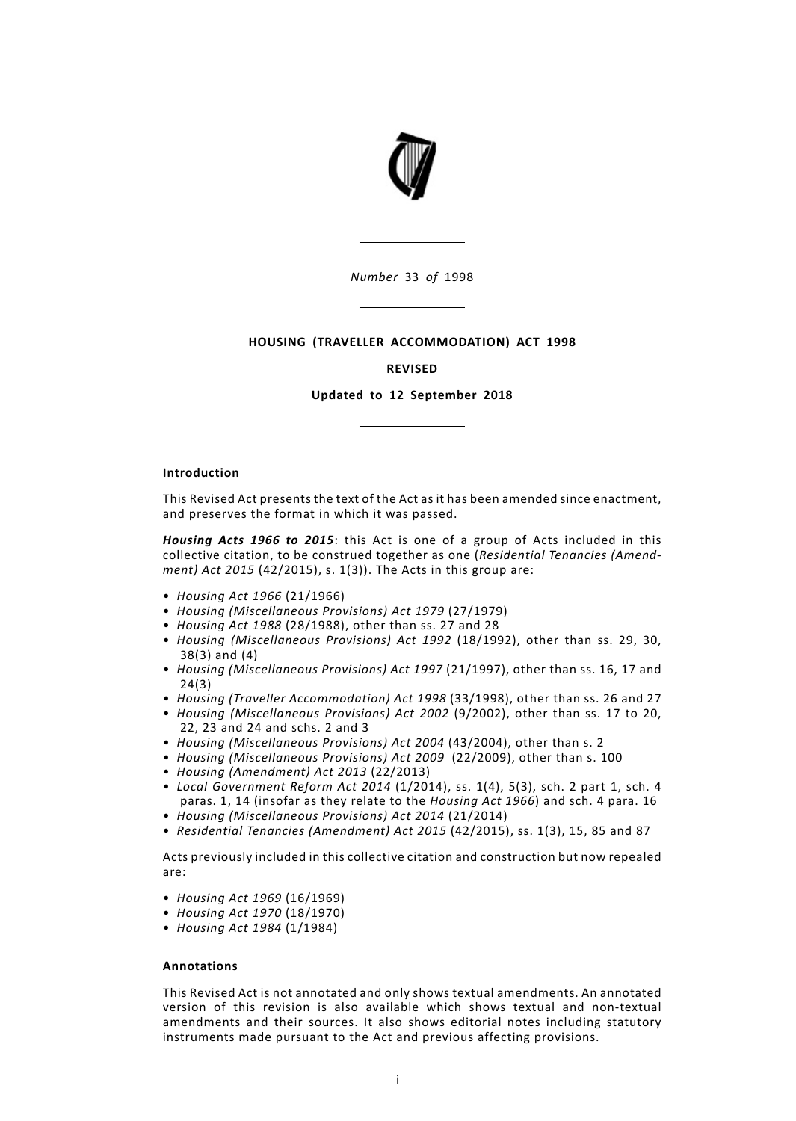

*Number* 33 *of* 1998

## **HOUSING (TRAVELLER ACCOMMODATION) ACT 1998**

#### **REVISED**

**Updated to 12 September 2018**

## **Introduction**

This Revised Act presents the text of the Act as it has been amended since enactment, and preserves the format in which it was passed.

*Housing Acts 1966 to 2015*: this Act is one of a group of Acts included in this collective citation, to be construed together as one (*Residential Tenancies (Amendment) Act 2015* (42/2015), s. 1(3)). The Acts in this group are:

- *Housing Act 1966* (21/1966)
- *Housing (Miscellaneous Provisions) Act 1979* (27/1979)
- *Housing Act 1988* (28/1988), other than ss. 27 and 28
- *Housing (Miscellaneous Provisions) Act 1992* (18/1992), other than ss. 29, 30, 38(3) and (4)
- *Housing (Miscellaneous Provisions) Act 1997* (21/1997), other than ss. 16, 17 and 24(3)
- *Housing (Traveller Accommodation) Act 1998* (33/1998), other than ss. 26 and 27
- *Housing (Miscellaneous Provisions) Act 2002* (9/2002), other than ss. 17 to 20, 22, 23 and 24 and schs. 2 and 3
- *Housing (Miscellaneous Provisions) Act 2004* (43/2004), other than s. 2
- *Housing (Miscellaneous Provisions) Act 2009* (22/2009), other than s. 100
- *Housing (Amendment) Act 2013* (22/2013)
- *Local Government Reform Act 2014* (1/2014), ss. 1(4), 5(3), sch. 2 part 1, sch. 4 paras. 1, 14 (insofar as they relate to the *Housing Act 1966*) and sch. 4 para. 16
- *Housing (Miscellaneous Provisions) Act 2014* (21/2014)
- *Residential Tenancies (Amendment) Act 2015* (42/2015), ss. 1(3), 15, 85 and 87

Acts previously included in this collective citation and construction but now repealed are:

- *Housing Act 1969* (16/1969)
- *Housing Act 1970* (18/1970)
- *Housing Act 1984* (1/1984)

## **Annotations**

This Revised Act is not annotated and only shows textual amendments. An annotated version of this revision is also available which shows textual and non-textual amendments and their sources. It also shows editorial notes including statutory instruments made pursuant to the Act and previous affecting provisions.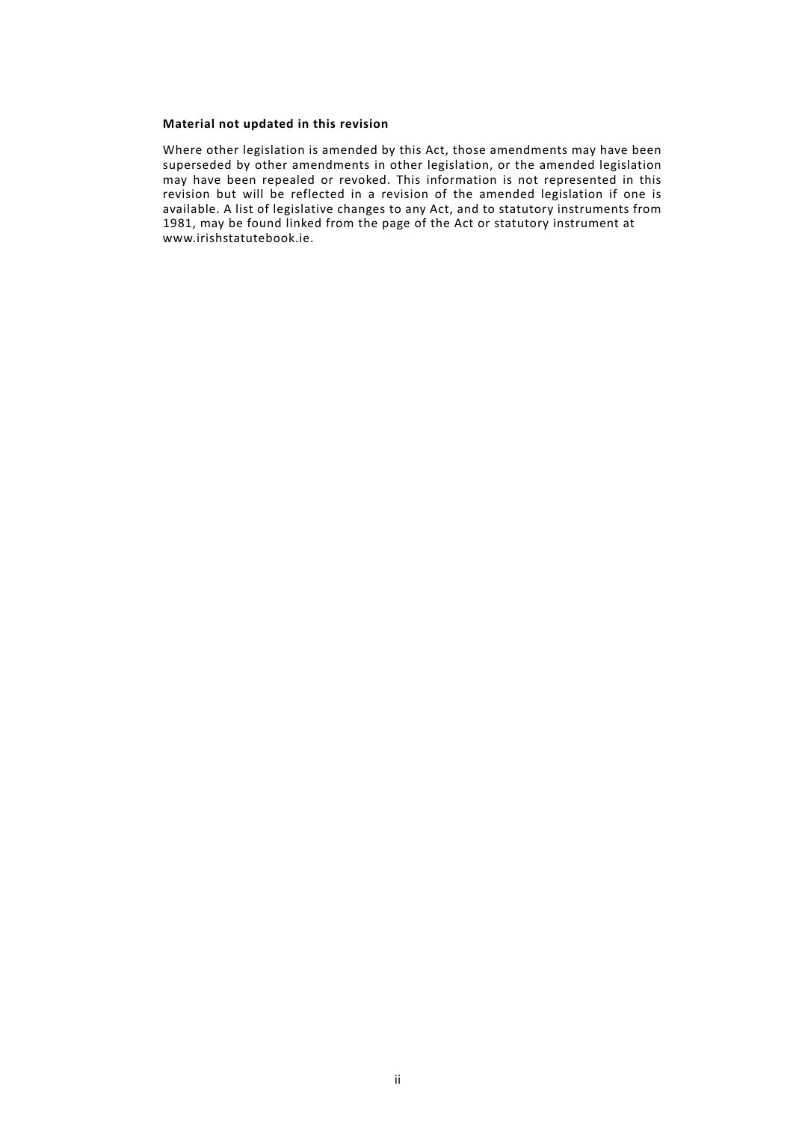## **Material not updated in this revision**

Where other legislation is amended by this Act, those amendments may have been superseded by other amendments in other legislation, or the amended legislation may have been repealed or revoked. This information is not represented in this revision but will be reflected in a revision of the amended legislation if one is available. A list of legislative changes to any Act, and to statutory instruments from 1981, may be found linked from the page of the Act or statutory instrument at www.irishstatutebook.ie.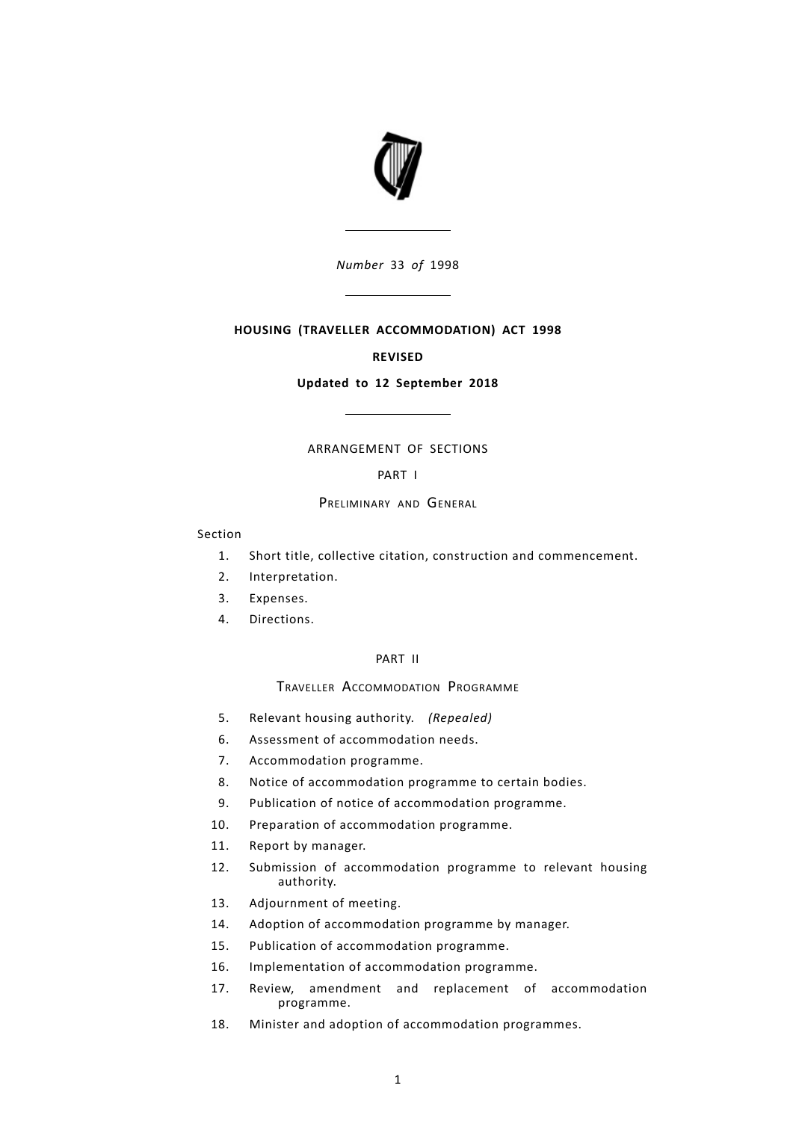

*Number* 33 *of* 1998

# **HOUSING (TRAVELLER ACCOMMODATION) ACT 1998**

## **REVISED**

### **Updated to 12 September 2018**

# ARRANGEMENT OF SECTIONS

# [PART](#page-6-0) I

## PRELIMINARY AND GENERAL

#### Section

- [1.](#page-6-1) Short title, collective citation, construction and [commencement.](#page-6-1)
- [2.](#page-6-2) [Interpretation.](#page-6-2)
- [3.](#page-7-0) [Expenses.](#page-7-0)
- [4.](#page-7-1) [Directions.](#page-7-1)

# [PART](#page-7-2) II

TRAVELLER ACCOMMODATION PROGRAMME

- [5.](#page-8-0) Relevant housing [authority.](#page-8-0) *(Repealed)*
- [6.](#page-8-1) Assessment of [accommodation](#page-8-1) needs.
- [7.](#page-8-2) [Accommodation](#page-8-2) programme.
- [8.](#page-9-0) Notice of [accommodation](#page-9-0) programme to certain bodies.
- [9.](#page-9-1) Publication of notice of [accommodation](#page-9-1) programme.
- [10.](#page-10-0) Preparation of [accommodation](#page-10-0) programme.
- [11.](#page-11-0) Report by [manager.](#page-11-0)
- Submission of [accommodation](#page-11-1) programme to relevant housing [authority.](#page-11-1) [12.](#page-11-1)
- [13.](#page-11-2) [Adjournment](#page-11-2) of meeting.
- [14.](#page-11-3) Adoption of [accommodation](#page-11-3) programme by manager.
- [15.](#page-11-4) Publication of [accommodation](#page-11-4) programme.
- [16.](#page-12-0) Implementation of [accommodation](#page-12-0) programme.
- Review, amendment and replacement of [accommodation](#page-12-1) [programme.](#page-12-1) [17.](#page-12-1)
- [18.](#page-12-2) Minister and adoption of [accommodation](#page-12-2) programmes.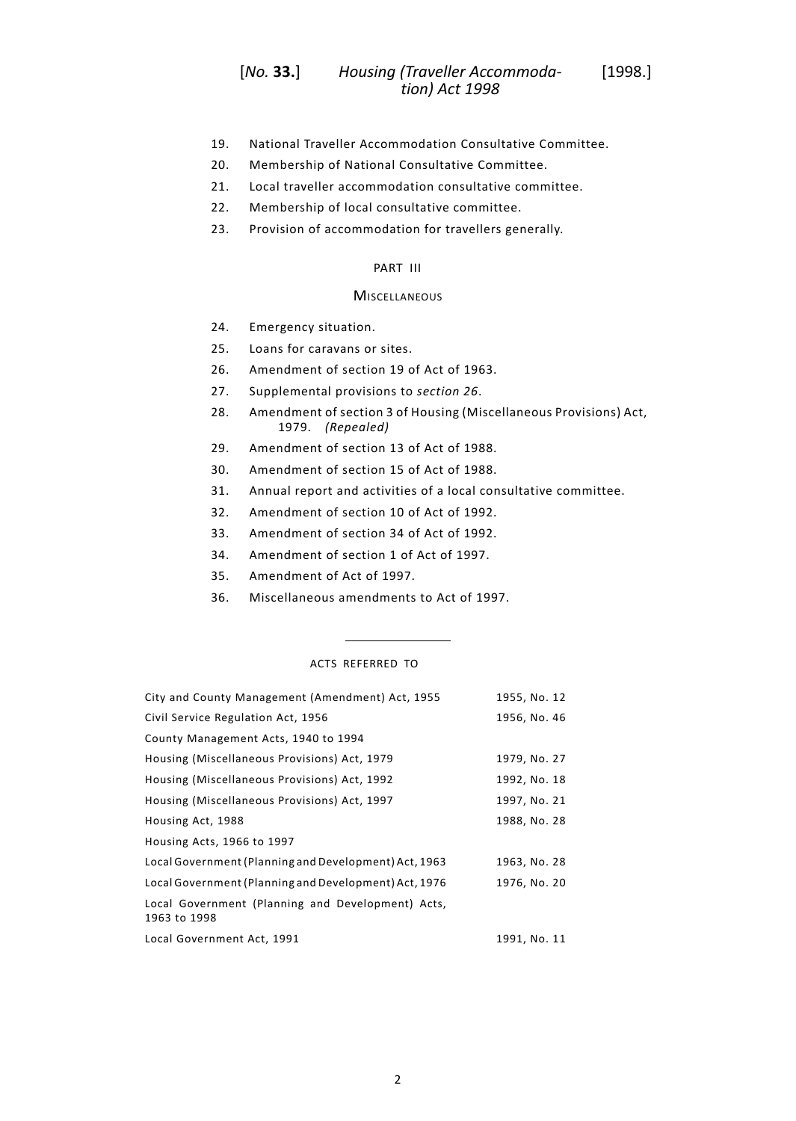#### *Housing (Traveller Accommoda-* [1998.] *tion) Act 1998* [*No.* **33.**]

- [19.](#page-13-0) National Traveller [Accommodation](#page-13-0) Consultative Committee.
- [20.](#page-13-1) [Membership](#page-13-1) of National Consultative Committee.
- [21.](#page-14-0) Local traveller [accommodation](#page-14-0) consultative committee.
- [22.](#page-15-0) [Membership](#page-15-0) of local consultative committee.
- [23.](#page-15-1) Provision of [accommodation](#page-15-1) for travellers generally.

## [PART](#page-15-2) III

## **MISCELLANEOUS**

- [24.](#page-15-3) [Emergency](#page-15-3) situation.
- [25.](#page-16-0) Loans for [caravans](#page-16-0) or sites.
- [26.](#page-16-1) [Amendment](#page-16-1) of section 19 of Act of 1963.
- [27.](#page-16-2) [Supplemental](#page-16-2) provisions to *section 26*.
- Amendment of section 3 of Housing [\(Miscellaneous](#page-16-3) Provisions) Act, [1979.](#page-16-3) *(Repealed)* [28.](#page-16-3)
- [29.](#page-17-0) [Amendment](#page-17-0) of section 13 of Act of 1988.
- [30.](#page-17-1) [Amendment](#page-17-1) of section 15 of Act of 1988.
- [31.](#page-17-2) Annual report and activities of a local [consultative](#page-17-2) committee.
- [32.](#page-18-0) [Amendment](#page-18-0) of section 10 of Act of 1992.
- [33.](#page-19-0) [Amendment](#page-19-0) of section 34 of Act of 1992.
- [34.](#page-19-1) [Amendment](#page-19-1) of section 1 of Act of 1997.
- [35.](#page-19-2) [Amendment](#page-19-2) of Act of 1997.
- [36.](#page-21-0) [Miscellaneous](#page-21-0) amendments to Act of 1997.

# ACTS REFERRED TO

| City and County Management (Amendment) Act, 1955                  | 1955, No. 12 |
|-------------------------------------------------------------------|--------------|
| Civil Service Regulation Act, 1956                                | 1956, No. 46 |
| County Management Acts, 1940 to 1994                              |              |
| Housing (Miscellaneous Provisions) Act, 1979                      | 1979, No. 27 |
| Housing (Miscellaneous Provisions) Act, 1992                      | 1992, No. 18 |
| Housing (Miscellaneous Provisions) Act, 1997                      | 1997, No. 21 |
| Housing Act, 1988                                                 | 1988, No. 28 |
| Housing Acts, 1966 to 1997                                        |              |
| Local Government (Planning and Development) Act, 1963             | 1963, No. 28 |
| Local Government (Planning and Development) Act, 1976             | 1976, No. 20 |
| Local Government (Planning and Development) Acts,<br>1963 to 1998 |              |
| Local Government Act, 1991                                        | 1991, No. 11 |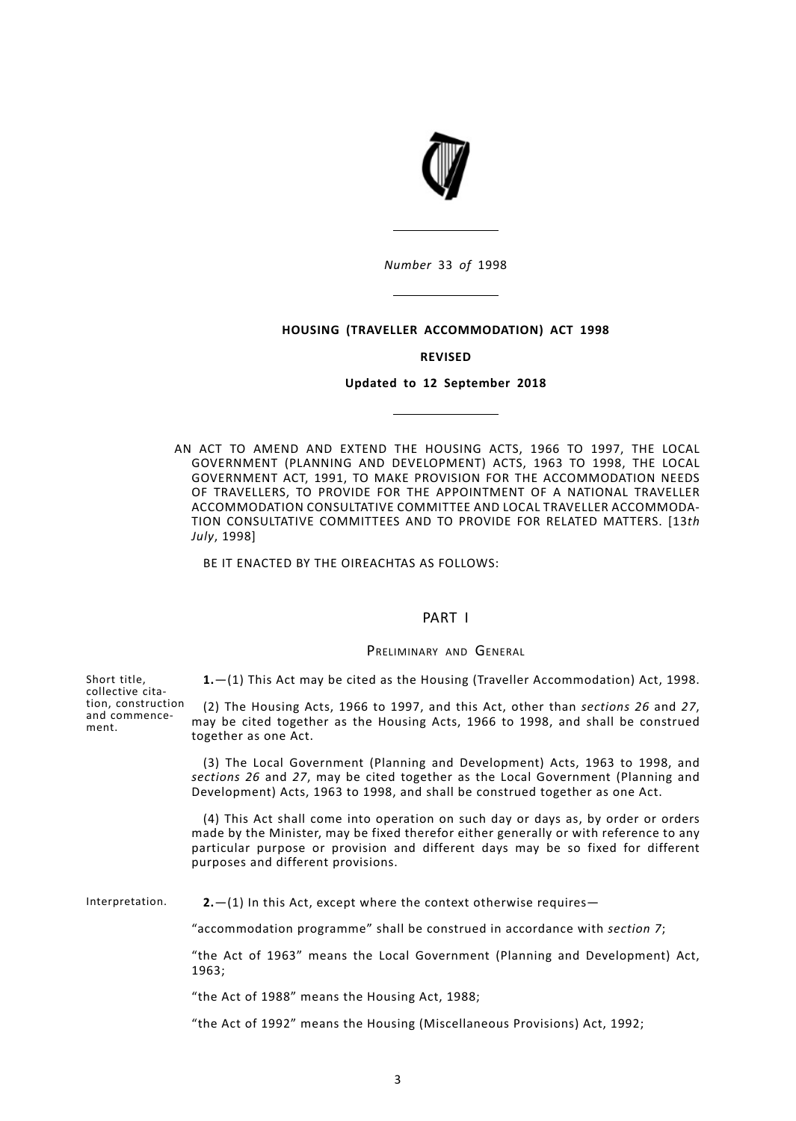

*Number* 33 *of* 1998

#### **HOUSING (TRAVELLER ACCOMMODATION) ACT 1998**

#### **REVISED**

## **Updated to 12 September 2018**

AN ACT TO AMEND AND EXTEND THE HOUSING ACTS, 1966 TO 1997, THE LOCAL GOVERNMENT (PLANNING AND DEVELOPMENT) ACTS, 1963 TO 1998, THE LOCAL GOVERNMENT ACT, 1991, TO MAKE PROVISION FOR THE ACCOMMODATION NEEDS OF TRAVELLERS, TO PROVIDE FOR THE APPOINTMENT OF A NATIONAL TRAVELLER ACCOMMODATION CONSULTATIVE COMMITTEE AND LOCAL TRAVELLER ACCOMMODA-TION CONSULTATIVE COMMITTEES AND TO PROVIDE FOR RELATED MATTERS. [13*th July*, 1998]

<span id="page-6-1"></span><span id="page-6-0"></span>BE IT ENACTED BY THE OIREACHTAS AS FOLLOWS:

# PART I

## PRELIMINARY AND GENERAL

**1.**—(1) This Act may be cited as the Housing (Traveller Accommodation) Act, 1998.

(2) The Housing Acts, 1966 to 1997, and this Act, other than *[sections](#page-16-1) 26* and *[27](#page-16-2)*, may be cited together as the Housing Acts, 1966 to 1998, and shall be construed together as one Act.

(3) The Local Government (Planning and Development) Acts, 1963 to 1998, and *[sections](#page-16-1) 26* and *[27](#page-16-2)*, may be cited together as the Local Government (Planning and Development) Acts, 1963 to 1998, and shall be construed together as one Act.

<span id="page-6-2"></span>(4) This Act shall come into operation on such day or days as, by order or orders made by the Minister, may be fixed therefor either generally or with reference to any particular purpose or provision and different days may be so fixed for different purposes and different provisions.

Interpretation. **2.**—(1) In this Act, except where the context otherwise requires—

"accommodation programme" shall be construed in accordance with *[section](#page-8-2) 7*;

"the Act of 1963" means the Local Government (Planning and Development) Act, 1963;

"the Act of 1988" means the Housing Act, 1988;

"the Act of 1992" means the Housing (Miscellaneous Provisions) Act, 1992;

Short title, collective citation, construction and commencement.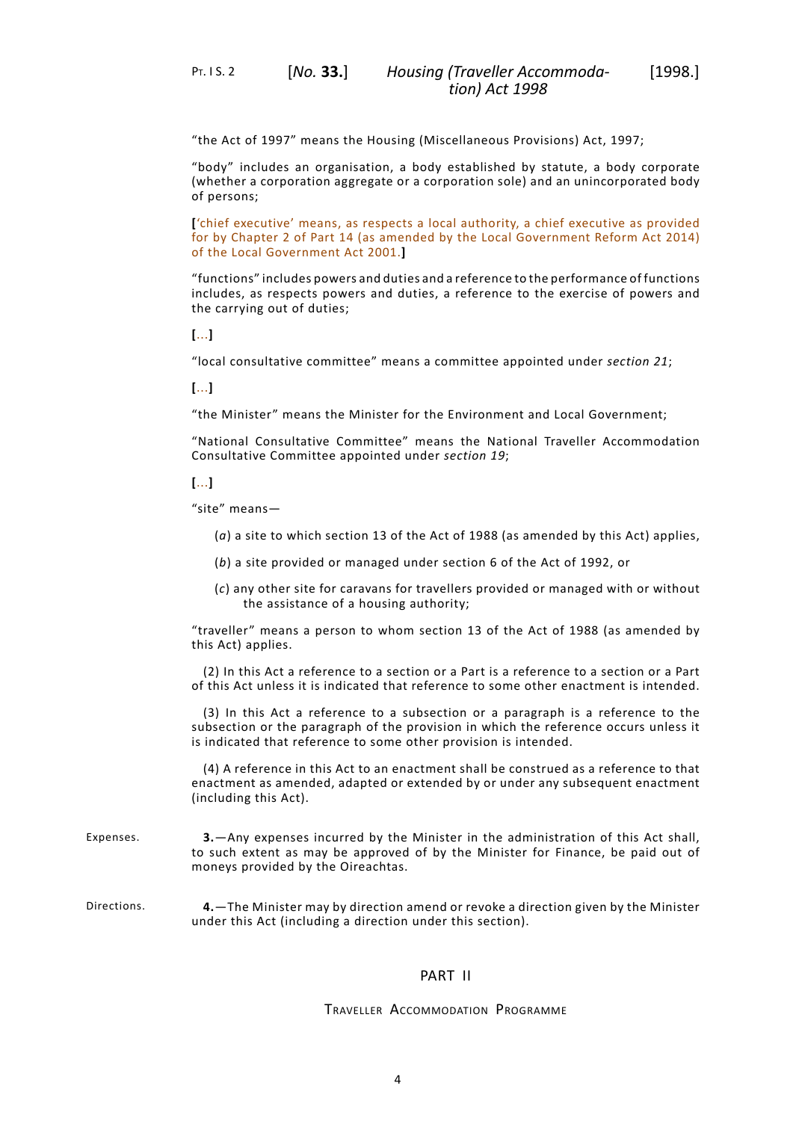"the Act of 1997" means the Housing (Miscellaneous Provisions) Act, 1997;

"body" includes an organisation, a body established by statute, a body corporate (whether a corporation aggregate or a corporation sole) and an unincorporated body of persons;

**[**'chief executive' means, as respects a local authority, a chief executive as provided for by Chapter 2 of Part 14 (as amended by the Local Government Reform Act 2014) of the Local Government Act 2001.**]**

"functions" includes powers and duties and a reference to the performance of functions includes, as respects powers and duties, a reference to the exercise of powers and the carrying out of duties;

**[**...**]**

"local consultative committee" means a committee appointed under *[section](#page-14-0) 21*;

**[**...**]**

"the Minister" means the Minister for the Environment and Local Government;

"National Consultative Committee" means the National Traveller Accommodation Consultative Committee appointed under *[section](#page-13-0) 19*;

**[**...**]**

"site" means—

- (*a*) a site to which section 13 of the Act of 1988 (as amended by this Act) applies,
- (*b*) a site provided or managed under section 6 of the Act of 1992, or
- (*c*) any other site for caravans for travellers provided or managed with or without the assistance of a housing authority;

"traveller" means a person to whom section 13 of the Act of 1988 (as amended by this Act) applies.

(2) In this Act a reference to a section or a Part is a reference to a section or a Part of this Act unless it is indicated that reference to some other enactment is intended.

(3) In this Act a reference to a subsection or a paragraph is a reference to the subsection or the paragraph of the provision in which the reference occurs unless it is indicated that reference to some other provision is intended.

<span id="page-7-1"></span><span id="page-7-0"></span>(4) A reference in this Act to an enactment shall be construed as a reference to that enactment as amended, adapted or extended by or under any subsequent enactment (including this Act).

- Expenses. **3.**—Any expenses incurred by the Minister in the administration of this Act shall, to such extent as may be approved of by the Minister for Finance, be paid out of moneys provided by the Oireachtas.
- <span id="page-7-2"></span>Directions. **4.**—The Minister may by direction amend or revoke a direction given by the Minister under this Act (including a direction under this section).

# PART II

# TRAVELLER ACCOMMODATION PROGRAMME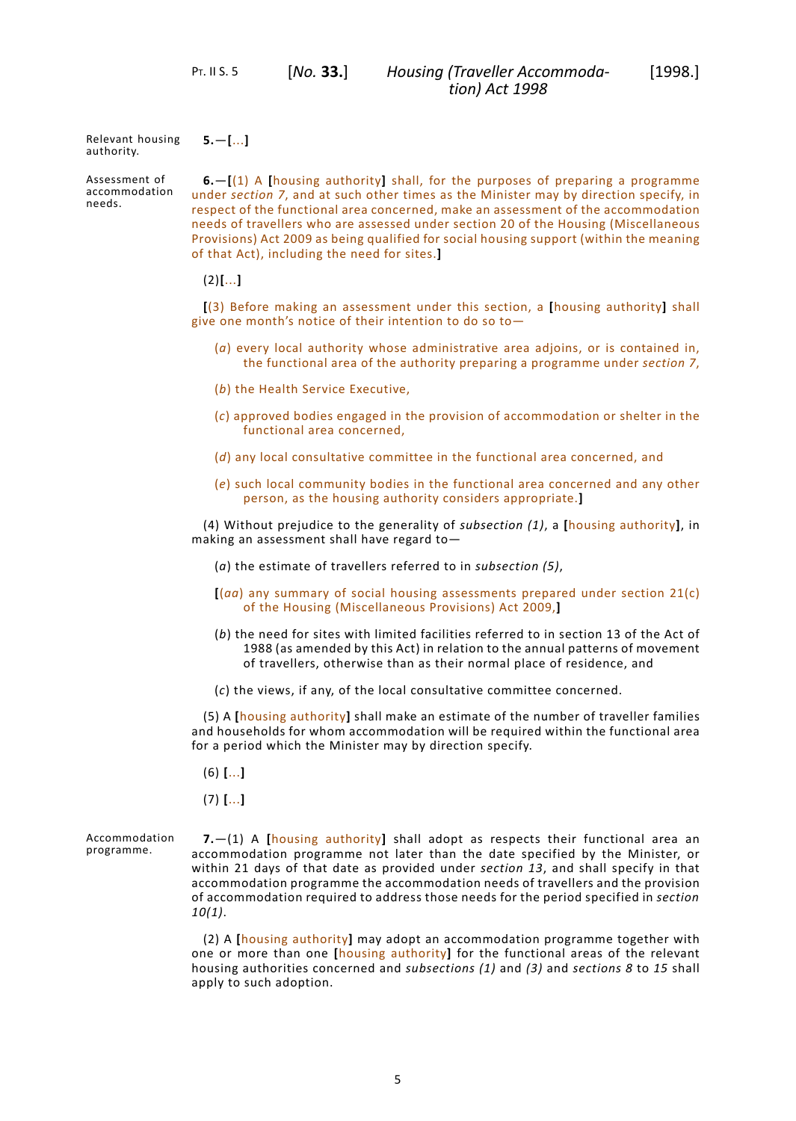#### Relevant housing authority. **5.**—**[**...**]**

Assessment of accommodation needs.

<span id="page-8-1"></span><span id="page-8-0"></span>**6.**—**[**(1) A **[**housing authority**]** shall, for the purposes of preparing a programme under *section 7*, and at such other times as the Minister may by direction specify, in respect of the functional area concerned, make an assessment of the accommodation needs of travellers who are assessed under section 20 of the Housing (Miscellaneous Provisions) Act 2009 as being qualified for social housing support (within the meaning of that Act), including the need for sites.**]**

(2)**[**...**]**

**[**(3) Before making an assessment under this section, a **[**housing authority**]** shall give one month's notice of their intention to do so to—

- (*a*) every local authority whose administrative area adjoins, or is contained in, the functional area of the authority preparing a programme under *section 7*,
- (*b*) the Health Service Executive,
- (*c*) approved bodies engaged in the provision of accommodation or shelter in the functional area concerned,
- (*d*) any local consultative committee in the functional area concerned, and
- (*e*) such local community bodies in the functional area concerned and any other person, as the housing authority considers appropriate.**]**

(4) Without prejudice to the generality of *subsection (1)*, a **[**housing authority**]**, in making an assessment shall have regard to—

- (*a*) the estimate of travellers referred to in *subsection (5)*,
- **[**(*aa*) any summary of social housing assessments prepared under section 21(c) of the Housing (Miscellaneous Provisions) Act 2009,**]**
- (*b*) the need for sites with limited facilities referred to in section 13 of the Act of 1988 (as amended by this Act) in relation to the annual patterns of movement of travellers, otherwise than as their normal place of residence, and
- (*c*) the views, if any, of the local consultative committee concerned.

(5) A **[**housing authority**]** shall make an estimate of the number of traveller families and households for whom accommodation will be required within the functional area for a period which the Minister may by direction specify.

- <span id="page-8-2"></span>(6) **[**...**]**
- (7) **[**...**]**

Accommodation programme.

**7.**—(1) A **[**housing authority**]** shall adopt as respects their functional area an accommodation programme not later than the date specified by the Minister, or within 21 days of that date as provided under *[section](#page-11-2) 13*, and shall specify in that accommodation programme the accommodation needs of travellers and the provision of accommodation required to address those needs for the period specified in *[section](#page-10-0) [10](#page-10-0)(1)*.

(2) A **[**housing authority**]** may adopt an accommodation programme together with one or more than one **[**housing authority**]** for the functional areas of the relevant housing authorities concerned and *subsections (1)* and *(3)* and *[sections](#page-9-0) 8* to *[15](#page-11-4)* shall apply to such adoption.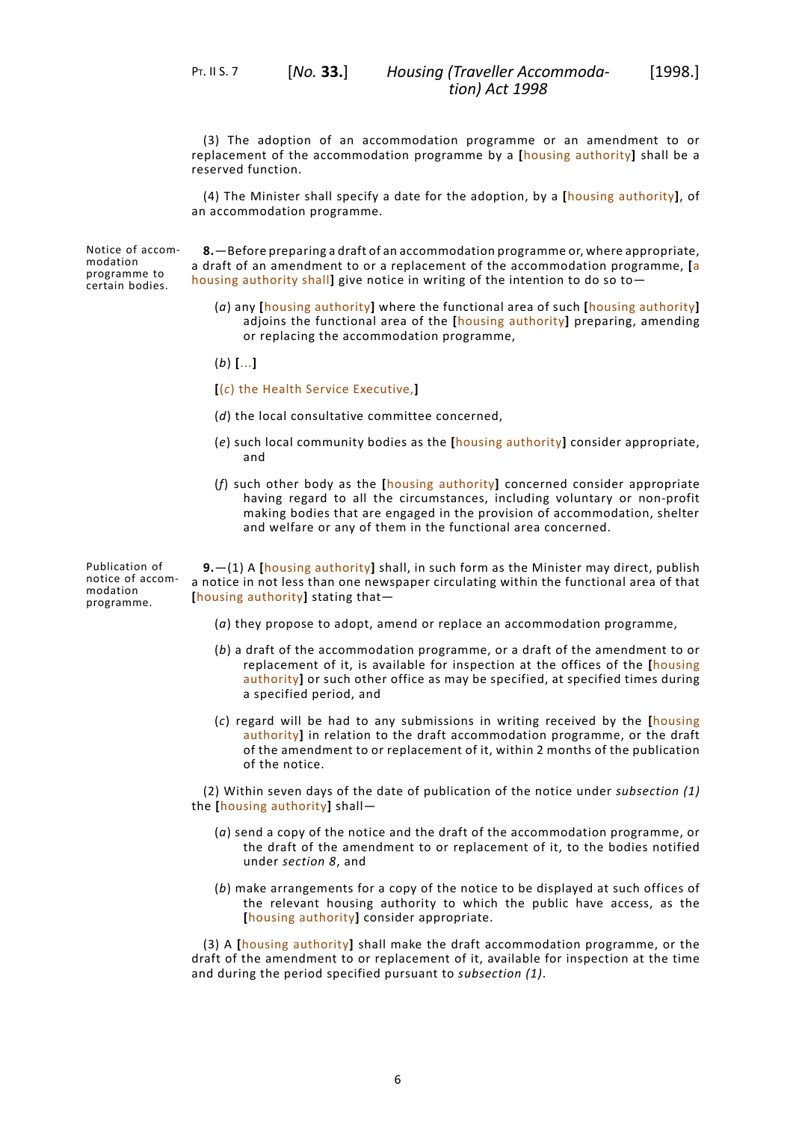(3) The adoption of an accommodation programme or an amendment to or replacement of the accommodation programme by a **[**housing authority**]** shall be a reserved function.

(4) The Minister shall specify a date for the adoption, by a **[**housing authority**]**, of an accommodation programme.

Notice of accommodation programme to certain bodies.

<span id="page-9-0"></span>**8.**—Before preparing a draft of an accommodation programme or, where appropriate, a draft of an amendment to or a replacement of the accommodation programme, **[**a housing authority shall**]** give notice in writing of the intention to do so to—

- (*a*) any **[**housing authority**]** where the functional area of such **[**housing authority**]** adjoins the functional area of the **[**housing authority**]** preparing, amending or replacing the accommodation programme,
- (*b*) **[**...**]**
- **[**(*c*) the Health Service Executive,**]**
- (*d*) the local consultative committee concerned,
- (*e*) such local community bodies as the **[**housing authority**]** consider appropriate, and
- <span id="page-9-1"></span>(*f*) such other body as the **[**housing authority**]** concerned consider appropriate having regard to all the circumstances, including voluntary or non-profit making bodies that are engaged in the provision of accommodation, shelter and welfare or any of them in the functional area concerned.

Publication of notice of accommodation programme.

**9.**—(1) A **[**housing authority**]** shall, in such form as the Minister may direct, publish a notice in not less than one newspaper circulating within the functional area of that **[**housing authority**]** stating that—

- (*a*) they propose to adopt, amend or replace an accommodation programme,
- (*b*) a draft of the accommodation programme, or a draft of the amendment to or replacement of it, is available for inspection at the offices of the **[**housing authority**]** or such other office as may be specified, at specified times during a specified period, and
- (*c*) regard will be had to any submissions in writing received by the **[**housing authority**]** in relation to the draft accommodation programme, or the draft of the amendment to or replacement of it, within 2 months of the publication of the notice.

(2) Within seven days of the date of publication of the notice under *subsection (1)* the **[**housing authority**]** shall—

- (*a*) send a copy of the notice and the draft of the accommodation programme, or the draft of the amendment to or replacement of it, to the bodies notified under *[section](#page-9-0) 8*, and
- (*b*) make arrangements for a copy of the notice to be displayed at such offices of the relevant housing authority to which the public have access, as the **[**housing authority**]** consider appropriate.

(3) A **[**housing authority**]** shall make the draft accommodation programme, or the draft of the amendment to or replacement of it, available for inspection at the time and during the period specified pursuant to *subsection (1)*.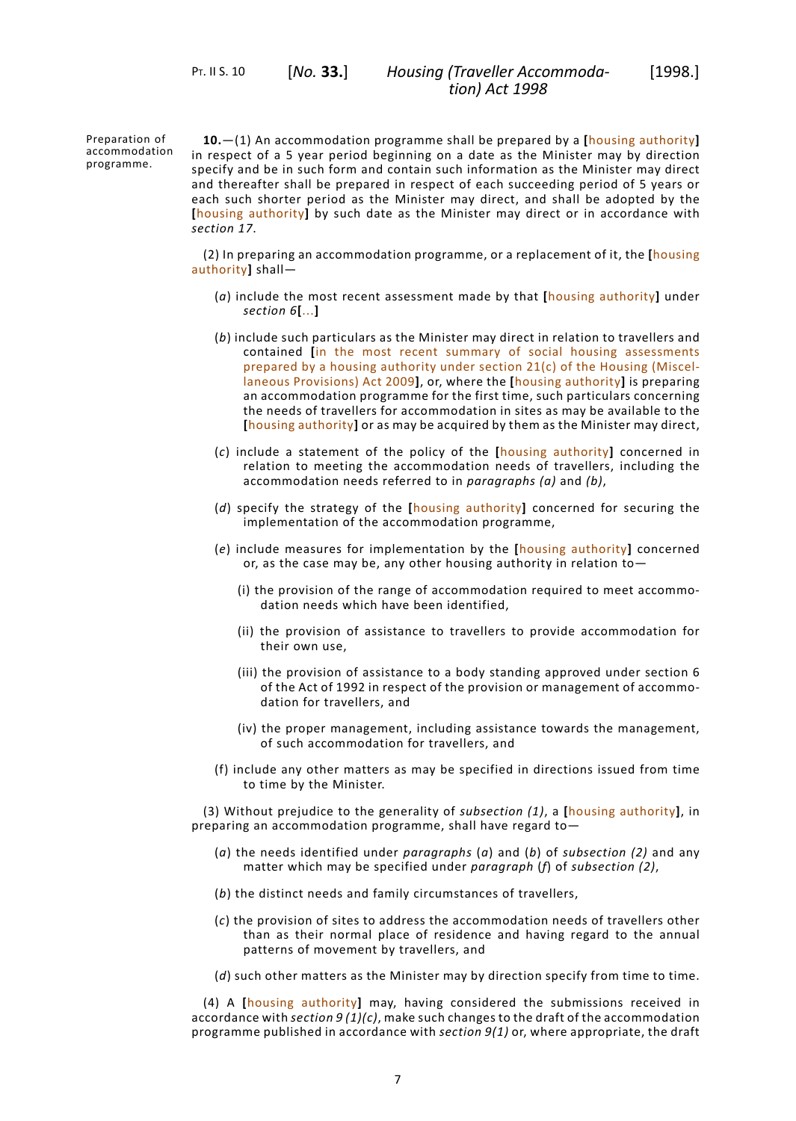PT. II S. 10 [*No.* **33.**]

Preparation of accommodation programme.

<span id="page-10-0"></span>**10.**—(1) An accommodation programme shall be prepared by a **[**housing authority**]** in respect of a 5 year period beginning on a date as the Minister may by direction specify and be in such form and contain such information as the Minister may direct and thereafter shall be prepared in respect of each succeeding period of 5 years or each such shorter period as the Minister may direct, and shall be adopted by the **[**housing authority**]** by such date as the Minister may direct or in accordance with *[section](#page-12-1) 17*.

(2) In preparing an accommodation programme, or a replacement of it, the **[**housing authority**]** shall—

- (*a*) include the most recent assessment made by that **[**housing authority**]** under *[section](#page-8-1) 6***[**...**]**
- (*b*) include such particulars as the Minister may direct in relation to travellers and contained **[**in the most recent summary of social housing assessments prepared by a housing authority under section 21(c) of the Housing (Miscellaneous Provisions) Act 2009**]**, or, where the **[**housing authority**]** is preparing an accommodation programme for the first time, such particulars concerning the needs of travellers for accommodation in sites as may be available to the **[**housing authority**]** or as may be acquired by them as the Minister may direct,
- (*c*) include a statement of the policy of the **[**housing authority**]** concerned in relation to meeting the accommodation needs of travellers, including the accommodation needs referred to in *paragraphs (a)* and *(b)*,
- (*d*) specify the strategy of the **[**housing authority**]** concerned for securing the implementation of the accommodation programme,
- (*e*) include measures for implementation by the **[**housing authority**]** concerned or, as the case may be, any other housing authority in relation to—
	- (i) the provision of the range of accommodation required to meet accommodation needs which have been identified,
	- (ii) the provision of assistance to travellers to provide accommodation for their own use,
	- (iii) the provision of assistance to a body standing approved under section 6 of the Act of 1992 in respect of the provision or management of accommodation for travellers, and
	- (iv) the proper management, including assistance towards the management, of such accommodation for travellers, and
- (f) include any other matters as may be specified in directions issued from time to time by the Minister.

(3) Without prejudice to the generality of *subsection (1)*, a **[**housing authority**]**, in preparing an accommodation programme, shall have regard to—

- (*a*) the needs identified under *paragraphs* (*a*) and (*b*) of *subsection (2)* and any matter which may be specified under *paragraph* (*f*) of *subsection (2)*,
- (*b*) the distinct needs and family circumstances of travellers,
- (*c*) the provision of sites to address the accommodation needs of travellers other than as their normal place of residence and having regard to the annual patterns of movement by travellers, and
- (*d*) such other matters as the Minister may by direction specify from time to time.

(4) A **[**housing authority**]** may, having considered the submissions received in accordance with *[section](#page-9-1) 9 (1)(c)*, make such changes to the draft of the accommodation programme published in accordance with *[section](#page-9-1) 9(1)* or, where appropriate, the draft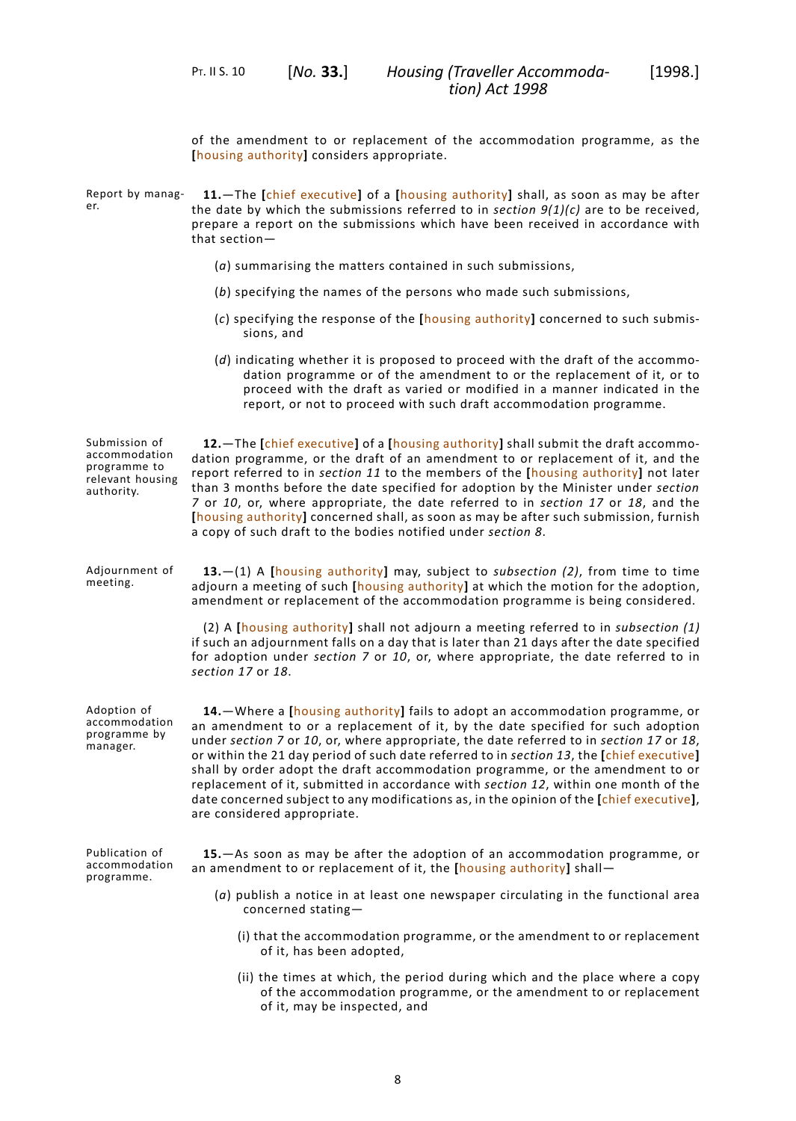PT. II S. 10 [*No.* **33.**]

<span id="page-11-0"></span>of the amendment to or replacement of the accommodation programme, as the **[**housing authority**]** considers appropriate.

<span id="page-11-4"></span><span id="page-11-3"></span><span id="page-11-2"></span><span id="page-11-1"></span>

| Report by manag-<br>er.                                                          | 11. The [chief executive] of a [housing authority] shall, as soon as may be after<br>the date by which the submissions referred to in section $9(1)(c)$ are to be received,<br>prepare a report on the submissions which have been received in accordance with<br>that section-                                                                                                                                                                                                                                                                                                                                                                                |
|----------------------------------------------------------------------------------|----------------------------------------------------------------------------------------------------------------------------------------------------------------------------------------------------------------------------------------------------------------------------------------------------------------------------------------------------------------------------------------------------------------------------------------------------------------------------------------------------------------------------------------------------------------------------------------------------------------------------------------------------------------|
|                                                                                  | $(a)$ summarising the matters contained in such submissions,                                                                                                                                                                                                                                                                                                                                                                                                                                                                                                                                                                                                   |
|                                                                                  | (b) specifying the names of the persons who made such submissions,                                                                                                                                                                                                                                                                                                                                                                                                                                                                                                                                                                                             |
|                                                                                  | (c) specifying the response of the [housing authority] concerned to such submis-<br>sions, and                                                                                                                                                                                                                                                                                                                                                                                                                                                                                                                                                                 |
|                                                                                  | (d) indicating whether it is proposed to proceed with the draft of the accommo-<br>dation programme or of the amendment to or the replacement of it, or to<br>proceed with the draft as varied or modified in a manner indicated in the<br>report, or not to proceed with such draft accommodation programme.                                                                                                                                                                                                                                                                                                                                                  |
| Submission of<br>accommodation<br>programme to<br>relevant housing<br>authority. | 12. The [chief executive] of a [housing authority] shall submit the draft accommo-<br>dation programme, or the draft of an amendment to or replacement of it, and the<br>report referred to in section 11 to the members of the [housing authority] not later<br>than 3 months before the date specified for adoption by the Minister under section<br>7 or 10, or, where appropriate, the date referred to in section 17 or 18, and the<br>[housing authority] concerned shall, as soon as may be after such submission, furnish<br>a copy of such draft to the bodies notified under section 8.                                                              |
| Adjournment of<br>meeting.                                                       | 13.-(1) A [housing authority] may, subject to subsection (2), from time to time<br>adjourn a meeting of such [housing authority] at which the motion for the adoption,<br>amendment or replacement of the accommodation programme is being considered.                                                                                                                                                                                                                                                                                                                                                                                                         |
|                                                                                  | (2) A [housing authority] shall not adjourn a meeting referred to in subsection $(1)$<br>if such an adjournment falls on a day that is later than 21 days after the date specified<br>for adoption under section 7 or 10, or, where appropriate, the date referred to in<br>section 17 or 18.                                                                                                                                                                                                                                                                                                                                                                  |
| Adoption of<br>accommodation<br>programme by<br>manager.                         | 14. - Where a [housing authority] fails to adopt an accommodation programme, or<br>an amendment to or a replacement of it, by the date specified for such adoption<br>under section 7 or 10, or, where appropriate, the date referred to in section 17 or 18,<br>or within the 21 day period of such date referred to in section 13, the [chief executive]<br>shall by order adopt the draft accommodation programme, or the amendment to or<br>replacement of it, submitted in accordance with section 12, within one month of the<br>date concerned subject to any modifications as, in the opinion of the [chief executive],<br>are considered appropriate. |
| Publication of<br>accommodation<br>programme.                                    | 15. - As soon as may be after the adoption of an accommodation programme, or<br>an amendment to or replacement of it, the [housing authority] shall-                                                                                                                                                                                                                                                                                                                                                                                                                                                                                                           |
|                                                                                  | $(a)$ publish a notice in at least one newspaper circulating in the functional area<br>concerned stating-                                                                                                                                                                                                                                                                                                                                                                                                                                                                                                                                                      |
|                                                                                  | (i) that the accommodation programme, or the amendment to or replacement<br>of it, has been adopted,                                                                                                                                                                                                                                                                                                                                                                                                                                                                                                                                                           |
|                                                                                  | (ii) the times at which, the period during which and the place where a copy<br>of the accommodation programme, or the amendment to or replacement<br>of it, may be inspected, and                                                                                                                                                                                                                                                                                                                                                                                                                                                                              |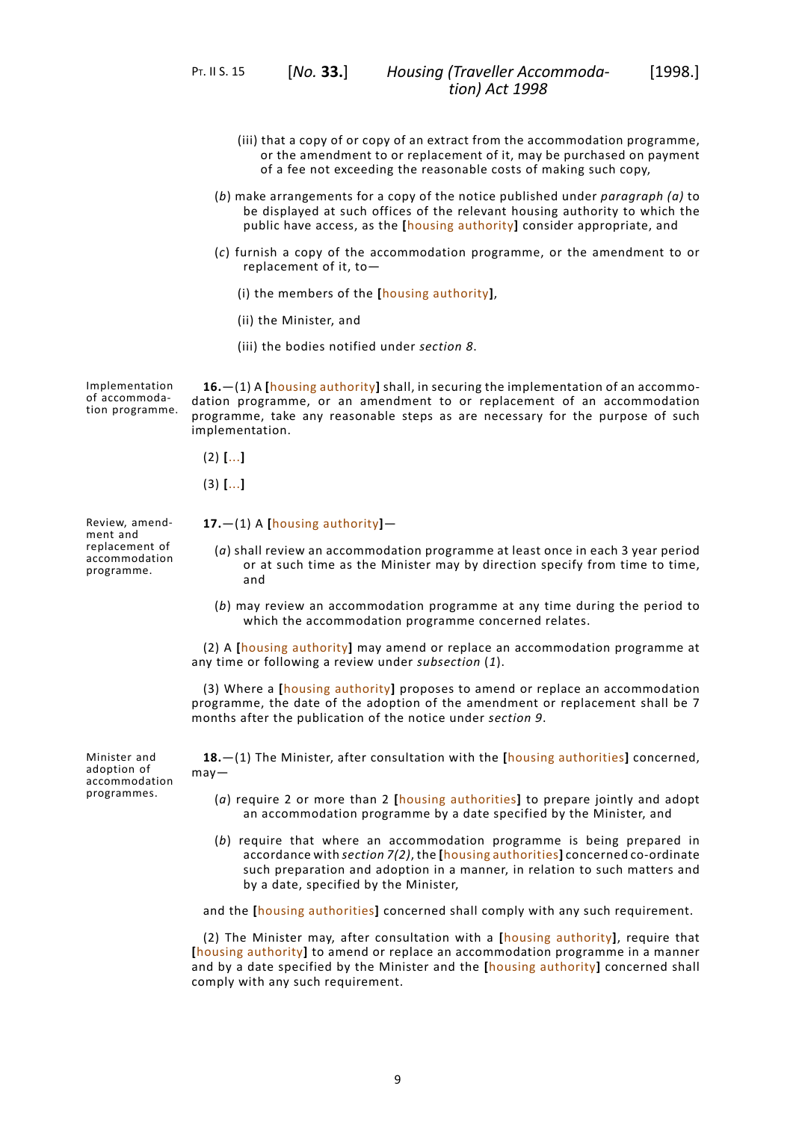PT. II S. 15 [*No.* **33.**]

- (iii) that a copy of or copy of an extract from the accommodation programme, or the amendment to or replacement of it, may be purchased on payment of a fee not exceeding the reasonable costs of making such copy,
- (*b*) make arrangements for a copy of the notice published under *paragraph (a)* to be displayed at such offices of the relevant housing authority to which the public have access, as the **[**housing authority**]** consider appropriate, and
- (*c*) furnish a copy of the accommodation programme, or the amendment to or replacement of it, to—
	- (i) the members of the **[**housing authority**]**,
	- (ii) the Minister, and
	- (iii) the bodies notified under *[section](#page-9-0) 8*.

Implementation of accommodation programme.

<span id="page-12-0"></span>**16.**—(1) A **[**housing authority**]** shall, in securing the implementation of an accommodation programme, or an amendment to or replacement of an accommodation programme, take any reasonable steps as are necessary for the purpose of such implementation.

- (2) **[**...**]**
- <span id="page-12-1"></span>(3) **[**...**]**

Review, amendment and replacement of accommodation programme.

- **17.**—(1) A **[**housing authority**]**
	- (*a*) shall review an accommodation programme at least once in each 3 year period or at such time as the Minister may by direction specify from time to time, and
	- (*b*) may review an accommodation programme at any time during the period to which the accommodation programme concerned relates.

(2) A **[**housing authority**]** may amend or replace an accommodation programme at any time or following a review under *subsection* (*1*).

<span id="page-12-2"></span>(3) Where a **[**housing authority**]** proposes to amend or replace an accommodation programme, the date of the adoption of the amendment or replacement shall be 7 months after the publication of the notice under *[section](#page-9-1) 9*.

**18.**—(1) The Minister, after consultation with the **[**housing authorities**]** concerned, may—

- (*a*) require 2 or more than 2 **[**housing authorities**]** to prepare jointly and adopt an accommodation programme by a date specified by the Minister, and
- (*b*) require that where an accommodation programme is being prepared in accordance with *[section](#page-8-2) 7(2)*, the **[**housing authorities**]** concerned co-ordinate such preparation and adoption in a manner, in relation to such matters and by a date, specified by the Minister,

and the **[**housing authorities**]** concerned shall comply with any such requirement.

(2) The Minister may, after consultation with a **[**housing authority**]**, require that **[**housing authority**]** to amend or replace an accommodation programme in a manner and by a date specified by the Minister and the **[**housing authority**]** concerned shall comply with any such requirement.

Minister and adoption of accommodation programmes.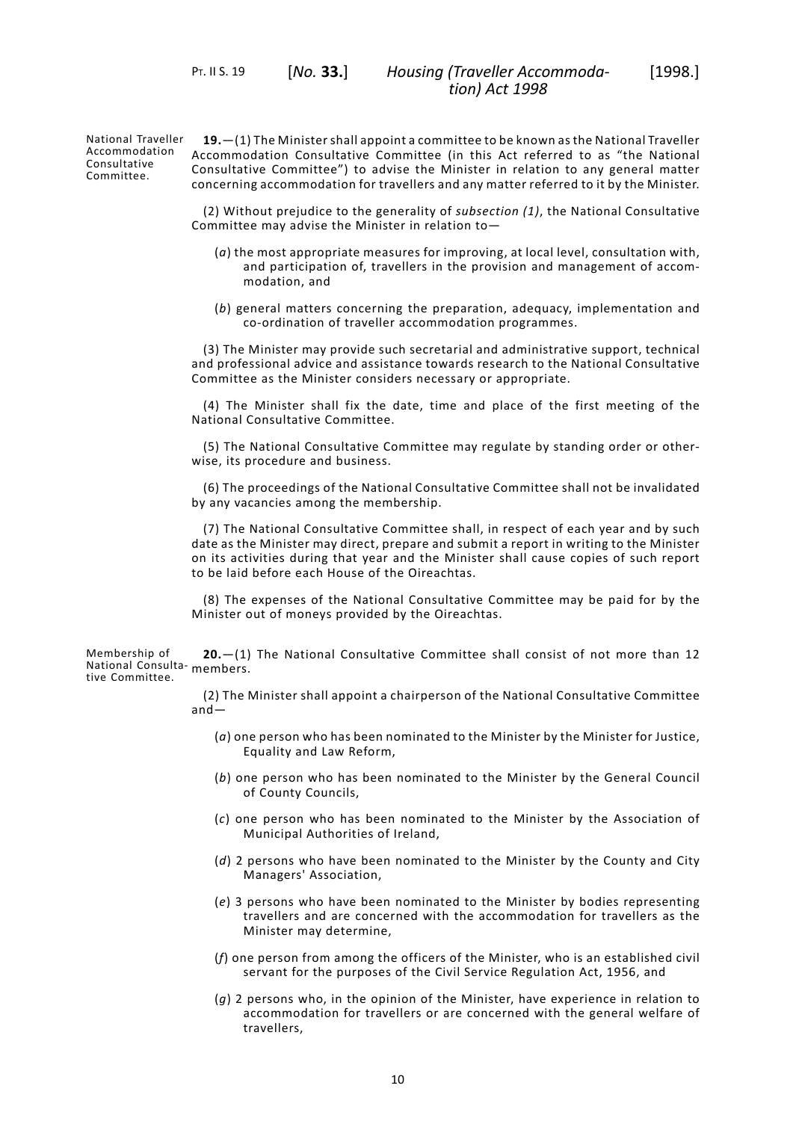PT. II S. 19 [*No.* **33.**]

National Traveller Accommodation Consultative Committee.

<span id="page-13-0"></span>**19.**—(1) The Minister shall appoint a committee to be known as the National Traveller Accommodation Consultative Committee (in this Act referred to as "the National Consultative Committee") to advise the Minister in relation to any general matter concerning accommodation for travellers and any matter referred to it by the Minister.

(2) Without prejudice to the generality of *subsection (1)*, the National Consultative Committee may advise the Minister in relation to—

- (*a*) the most appropriate measures for improving, at local level, consultation with, and participation of, travellers in the provision and management of accommodation, and
- (*b*) general matters concerning the preparation, adequacy, implementation and co-ordination of traveller accommodation programmes.

(3) The Minister may provide such secretarial and administrative support, technical and professional advice and assistance towards research to the National Consultative Committee as the Minister considers necessary or appropriate.

(4) The Minister shall fix the date, time and place of the first meeting of the National Consultative Committee.

(5) The National Consultative Committee may regulate by standing order or otherwise, its procedure and business.

(6) The proceedings of the National Consultative Committee shall not be invalidated by any vacancies among the membership.

(7) The National Consultative Committee shall, in respect of each year and by such date as the Minister may direct, prepare and submit a report in writing to the Minister on its activities during that year and the Minister shall cause copies of such report to be laid before each House of the Oireachtas.

<span id="page-13-1"></span>(8) The expenses of the National Consultative Committee may be paid for by the Minister out of moneys provided by the Oireachtas.

Membership of National Consulta-members. tive Committee. **20.**—(1) The National Consultative Committee shall consist of not more than 12

> (2) The Minister shall appoint a chairperson of the National Consultative Committee and—

- (*a*) one person who has been nominated to the Minister by the Minister for Justice, Equality and Law Reform,
- (*b*) one person who has been nominated to the Minister by the General Council of County Councils,
- (*c*) one person who has been nominated to the Minister by the Association of Municipal Authorities of Ireland,
- (*d*) 2 persons who have been nominated to the Minister by the County and City Managers' Association,
- (*e*) 3 persons who have been nominated to the Minister by bodies representing travellers and are concerned with the accommodation for travellers as the Minister may determine,
- (*f*) one person from among the officers of the Minister, who is an established civil servant for the purposes of the Civil Service Regulation Act, 1956, and
- (*g*) 2 persons who, in the opinion of the Minister, have experience in relation to accommodation for travellers or are concerned with the general welfare of travellers,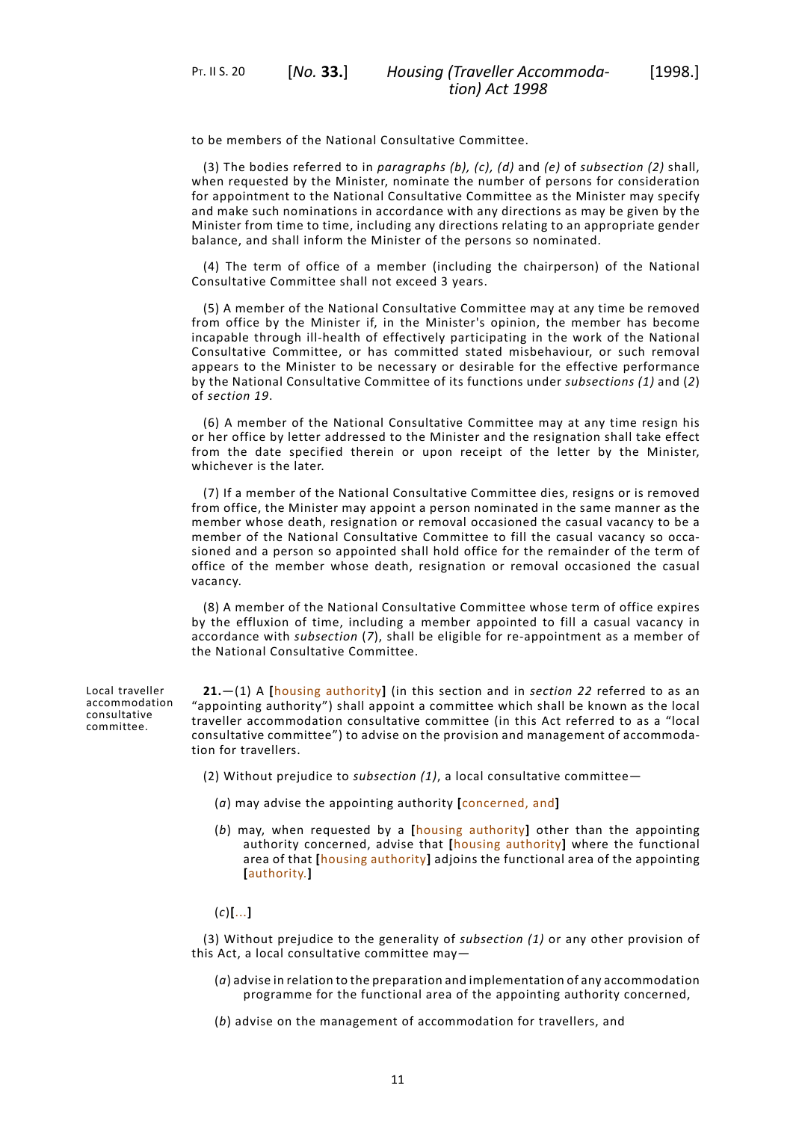to be members of the National Consultative Committee.

(3) The bodies referred to in *paragraphs (b), (c), (d)* and *(e)* of *subsection (2)* shall, when requested by the Minister, nominate the number of persons for consideration for appointment to the National Consultative Committee as the Minister may specify and make such nominations in accordance with any directions as may be given by the Minister from time to time, including any directions relating to an appropriate gender balance, and shall inform the Minister of the persons so nominated.

(4) The term of office of a member (including the chairperson) of the National Consultative Committee shall not exceed 3 years.

(5) A member of the National Consultative Committee may at any time be removed from office by the Minister if, in the Minister's opinion, the member has become incapable through ill-health of effectively participating in the work of the National Consultative Committee, or has committed stated misbehaviour, or such removal appears to the Minister to be necessary or desirable for the effective performance by the National Consultative Committee of its functions under *subsections (1)* and (*2*) of *[section](#page-13-0) 19*.

(6) A member of the National Consultative Committee may at any time resign his or her office by letter addressed to the Minister and the resignation shall take effect from the date specified therein or upon receipt of the letter by the Minister, whichever is the later.

(7) If a member of the National Consultative Committee dies, resigns or is removed from office, the Minister may appoint a person nominated in the same manner as the member whose death, resignation or removal occasioned the casual vacancy to be a member of the National Consultative Committee to fill the casual vacancy so occasioned and a person so appointed shall hold office for the remainder of the term of office of the member whose death, resignation or removal occasioned the casual vacancy.

<span id="page-14-0"></span>(8) A member of the National Consultative Committee whose term of office expires by the effluxion of time, including a member appointed to fill a casual vacancy in accordance with *subsection* (*7*), shall be eligible for re-appointment as a member of the National Consultative Committee.

Local traveller accommodation consultative committee.

**21.**—(1) A **[**housing authority**]** (in this section and in *[section](#page-15-0) 22* referred to as an "appointing authority") shall appoint a committee which shall be known as the local traveller accommodation consultative committee (in this Act referred to as a "local consultative committee") to advise on the provision and management of accommodation for travellers.

- (2) Without prejudice to *subsection (1)*, a local consultative committee—
	- (*a*) may advise the appointing authority **[**concerned, and**]**
	- (*b*) may, when requested by a **[**housing authority**]** other than the appointing authority concerned, advise that **[**housing authority**]** where the functional area of that **[**housing authority**]** adjoins the functional area of the appointing **[**authority.**]**

#### (*c*)**[**...**]**

(3) Without prejudice to the generality of *subsection (1)* or any other provision of this Act, a local consultative committee may—

- (*a*) advise in relation to the preparation and implementation of any accommodation programme for the functional area of the appointing authority concerned,
- (*b*) advise on the management of accommodation for travellers, and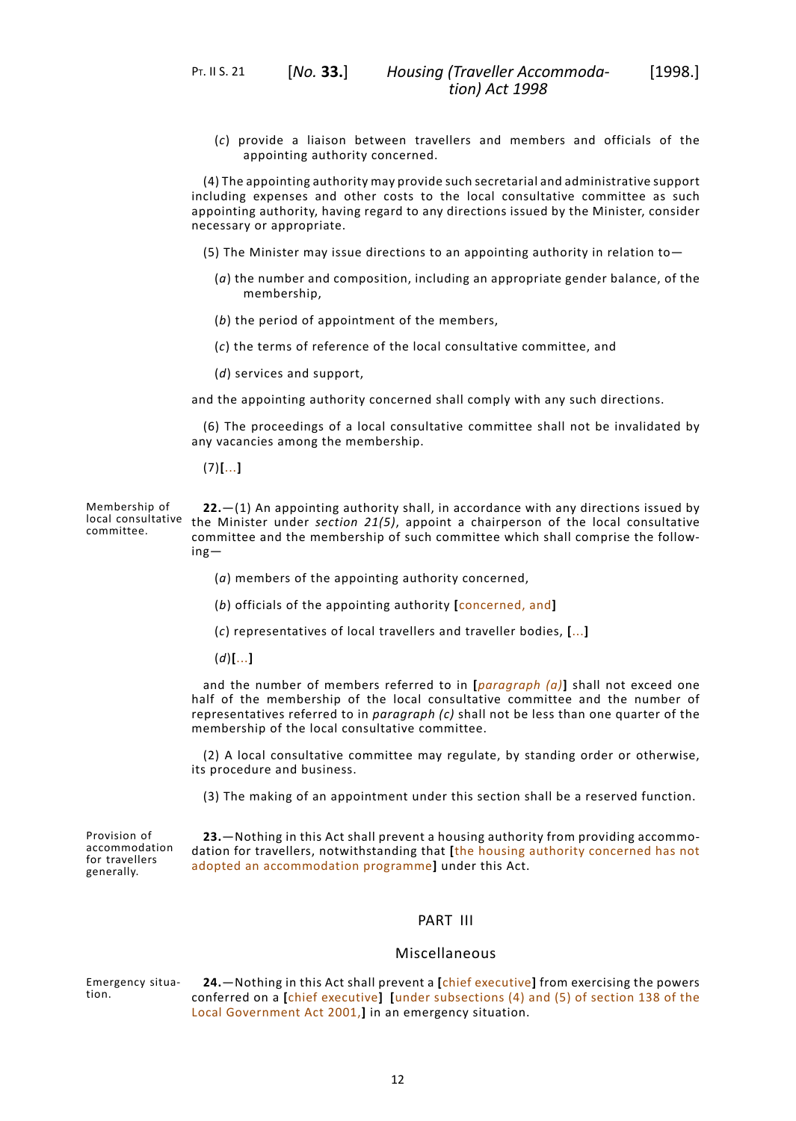(*c*) provide a liaison between travellers and members and officials of the appointing authority concerned.

(4) The appointing authority may provide such secretarial and administrative support including expenses and other costs to the local consultative committee as such appointing authority, having regard to any directions issued by the Minister, consider necessary or appropriate.

- (5) The Minister may issue directions to an appointing authority in relation to—
	- (*a*) the number and composition, including an appropriate gender balance, of the membership,
	- (*b*) the period of appointment of the members,
	- (*c*) the terms of reference of the local consultative committee, and
	- (*d*) services and support,

and the appointing authority concerned shall comply with any such directions.

(6) The proceedings of a local consultative committee shall not be invalidated by any vacancies among the membership.

<span id="page-15-0"></span>(7)**[**...**]**

Membership of local consultative committee. **22.**—(1) An appointing authority shall, in accordance with any directions issued by the Minister under *[section](#page-14-0) 21(5)*, appoint a chairperson of the local consultative committee and the membership of such committee which shall comprise the following—

- (*a*) members of the appointing authority concerned,
- (*b*) officials of the appointing authority **[**concerned, and**]**
- (*c*) representatives of local travellers and traveller bodies, **[**...**]**
- (*d*)**[**...**]**

and the number of members referred to in **[***paragraph (a)***]** shall not exceed one half of the membership of the local consultative committee and the number of representatives referred to in *paragraph (c)* shall not be less than one quarter of the membership of the local consultative committee.

<span id="page-15-1"></span>(2) A local consultative committee may regulate, by standing order or otherwise, its procedure and business.

(3) The making of an appointment under this section shall be a reserved function.

Provision of accommodation for travellers generally.

<span id="page-15-3"></span><span id="page-15-2"></span>**23.**—Nothing in this Act shall prevent a housing authority from providing accommodation for travellers, notwithstanding that **[**the housing authority concerned has not adopted an accommodation programme**]** under this Act.

# PART III

# Miscellaneous

Emergency situation. **24.**—Nothing in this Act shall prevent a **[**chief executive**]** from exercising the powers conferred on a **[**chief executive**] [**under subsections (4) and (5) of section 138 of the Local Government Act 2001,**]** in an emergency situation.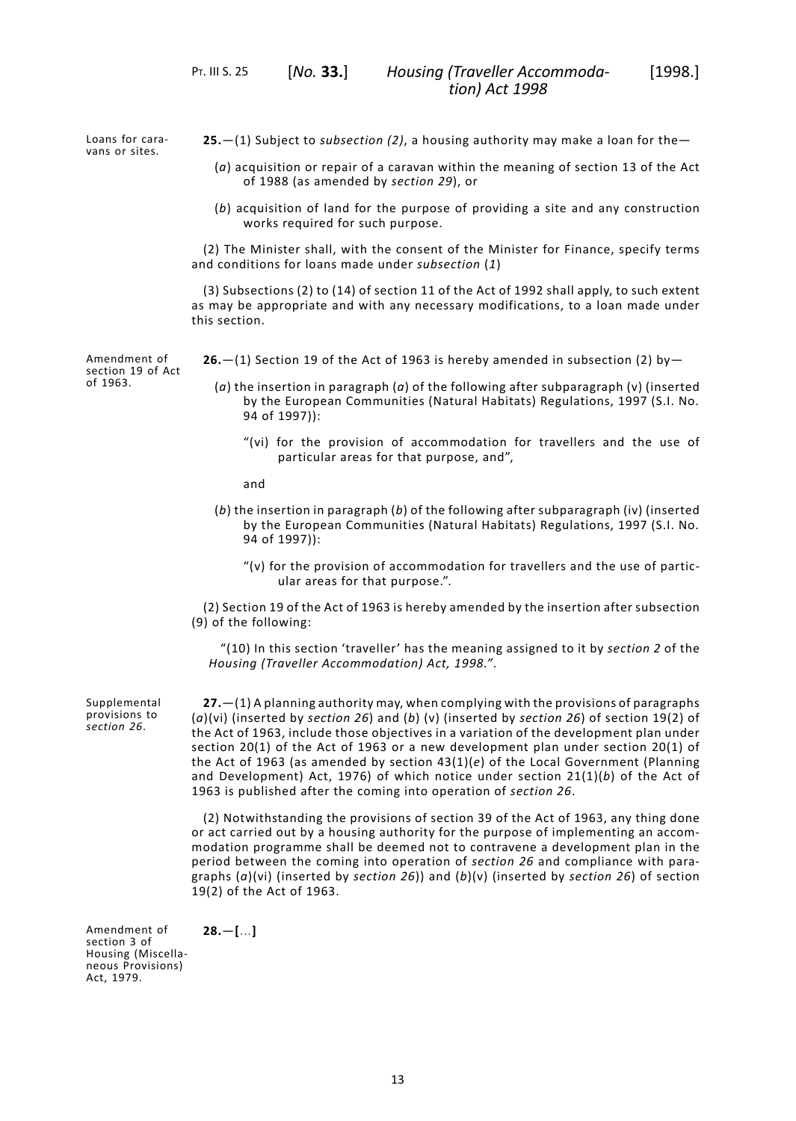Loans for caravans or sites.

of 1963.

- <span id="page-16-0"></span>**25.**—(1) Subject to *subsection (2)*, a housing authority may make a loan for the—
	- (*a*) acquisition or repair of a caravan within the meaning of section 13 of the Act of 1988 (as amended by *[section](#page-17-0) 29*), or
	- (*b*) acquisition of land for the purpose of providing a site and any construction works required for such purpose.

(2) The Minister shall, with the consent of the Minister for Finance, specify terms and conditions for loans made under *subsection* (*1*)

<span id="page-16-1"></span>(3) Subsections (2) to (14) of section 11 of the Act of 1992 shall apply, to such extent as may be appropriate and with any necessary modifications, to a loan made under this section.

**26.**—(1) Section 19 of the Act of 1963 is hereby amended in subsection (2) by—

- (*a*) the insertion in paragraph (*a*) of the following after subparagraph (v) (inserted by the European Communities (Natural Habitats) Regulations, 1997 (S.I. No. 94 of 1997)):
	- "(vi) for the provision of accommodation for travellers and the use of particular areas for that purpose, and",
	- and
- (*b*) the insertion in paragraph (*b*) of the following after subparagraph (iv) (inserted by the European Communities (Natural Habitats) Regulations, 1997 (S.I. No. 94 of 1997)):
	- "(v) for the provision of accommodation for travellers and the use of particular areas for that purpose.".
- <span id="page-16-2"></span>(2) Section 19 of the Act of 1963 is hereby amended by the insertion after subsection (9) of the following:

"(10) In this section 'traveller' has the meaning assigned to it by *[section](#page-6-2) 2* of the *Housing (Traveller Accommodation) Act, 1998."*.

**27.**—(1) A planning authority may, when complying with the provisions of paragraphs (*a*)(vi) (inserted by *[section](#page-16-1) 26*) and (*b*) (v) (inserted by *[section](#page-16-1) 26*) of section 19(2) of the Act of 1963, include those objectives in a variation of the development plan under section 20(1) of the Act of 1963 or a new development plan under section 20(1) of the Act of 1963 (as amended by section 43(1)(*e*) of the Local Government (Planning and Development) Act, 1976) of which notice under section 21(1)(*b*) of the Act of 1963 is published after the coming into operation of *[section](#page-16-1) 26*.

<span id="page-16-3"></span>(2) Notwithstanding the provisions of section 39 of the Act of 1963, any thing done or act carried out by a housing authority for the purpose of implementing an accommodation programme shall be deemed not to contravene a development plan in the period between the coming into operation of *[section](#page-16-1) 26* and compliance with paragraphs (*a*)(vi) (inserted by *[section](#page-16-1) 26*)) and (*b*)(v) (inserted by *[section](#page-16-1) 26*) of section 19(2) of the Act of 1963.

Amendment of section 3 of Housing (Miscellaneous Provisions) Act, 1979.

Supplemental provisions to *[section](#page-16-1) 26*.

**28.**—**[**...**]**

Amendment of section 19 of Act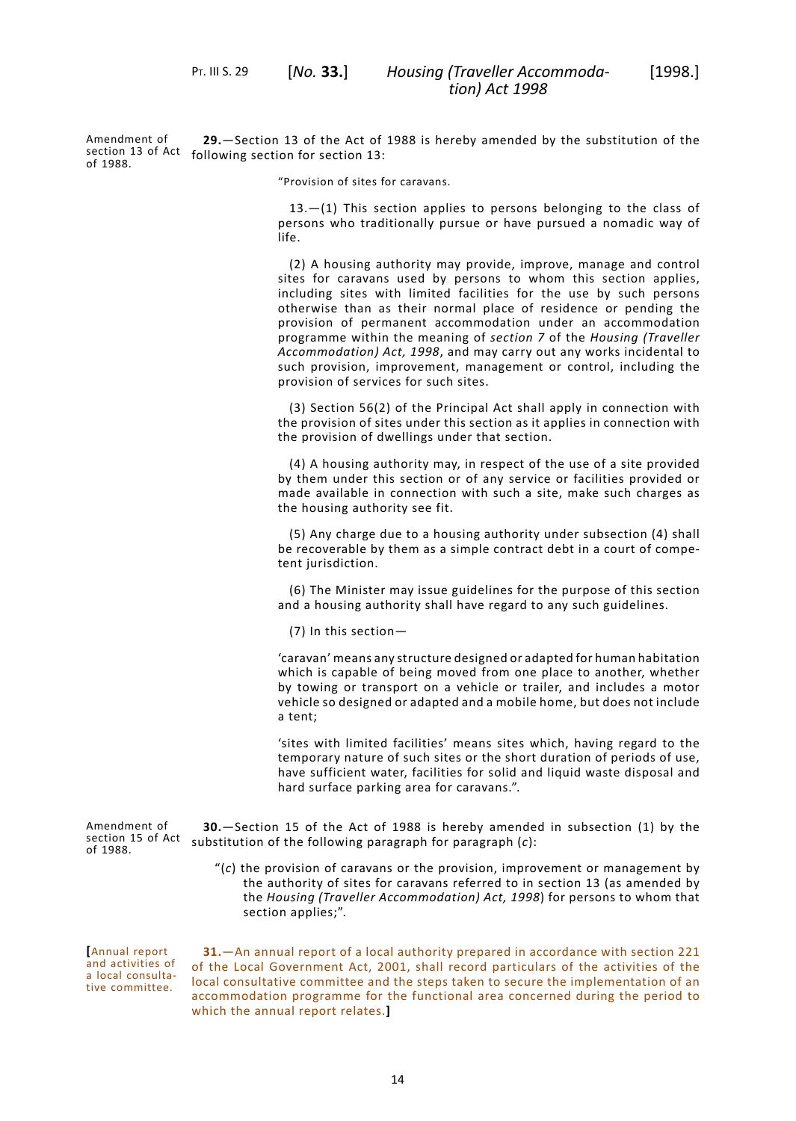<span id="page-17-0"></span>Amendment of section 13 of Act following section for section 13: of 1988. **29.**—Section 13 of the Act of 1988 is hereby amended by the substitution of the

"Provision of sites for caravans.

 $13. - (1)$  This section applies to persons belonging to the class of persons who traditionally pursue or have pursued a nomadic way of life.

(2) A housing authority may provide, improve, manage and control sites for caravans used by persons to whom this section applies, including sites with limited facilities for the use by such persons otherwise than as their normal place of residence or pending the provision of permanent accommodation under an accommodation programme within the meaning of *[section](#page-8-2) 7* of the *Housing (Traveller Accommodation) Act, 1998*, and may carry out any works incidental to such provision, improvement, management or control, including the provision of services for such sites.

(3) Section 56(2) of the Principal Act shall apply in connection with the provision of sites under this section as it applies in connection with the provision of dwellings under that section.

(4) A housing authority may, in respect of the use of a site provided by them under this section or of any service or facilities provided or made available in connection with such a site, make such charges as the housing authority see fit.

(5) Any charge due to a housing authority under subsection (4) shall be recoverable by them as a simple contract debt in a court of competent jurisdiction.

(6) The Minister may issue guidelines for the purpose of this section and a housing authority shall have regard to any such guidelines.

(7) In this section—

'caravan' means any structure designed or adapted for human habitation which is capable of being moved from one place to another, whether by towing or transport on a vehicle or trailer, and includes a motor vehicle so designed or adapted and a mobile home, but does not include a tent;

<span id="page-17-1"></span>'sites with limited facilities' means sites which, having regard to the temporary nature of such sites or the short duration of periods of use, have sufficient water, facilities for solid and liquid waste disposal and hard surface parking area for caravans.".

Amendment of section 15 of Act substitution of the following paragraph for paragraph (*c*): of 1988. **30.**—Section 15 of the Act of 1988 is hereby amended in subsection (1) by the

> <span id="page-17-2"></span>"(*c*) the provision of caravans or the provision, improvement or management by the authority of sites for caravans referred to in section 13 (as amended by the *Housing (Traveller Accommodation) Act, 1998*) for persons to whom that section applies;".

**[**Annual report and activities of a local consultative committee.

**31.**—An annual report of a local authority prepared in accordance with section 221 of the Local Government Act, 2001, shall record particulars of the activities of the local consultative committee and the steps taken to secure the implementation of an accommodation programme for the functional area concerned during the period to which the annual report relates.**]**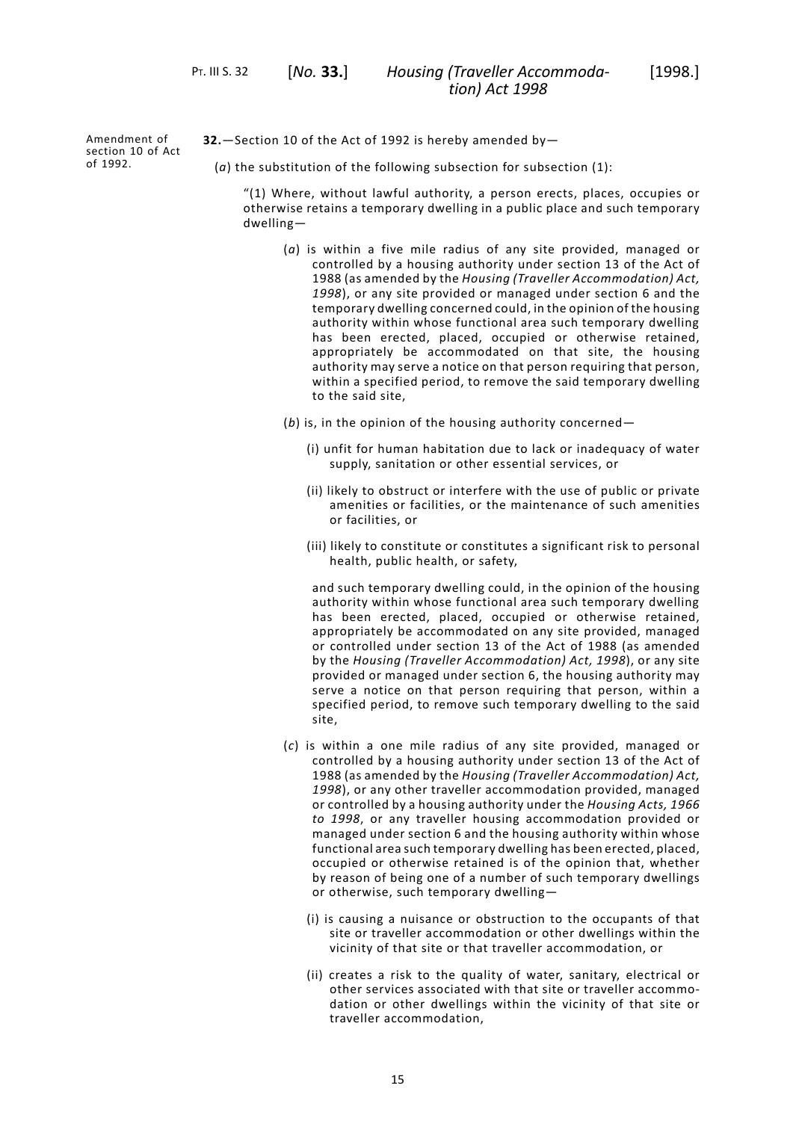*Housing (Traveller Accommoda-* [1998.] *tion) Act 1998*

Amendment of section 10 of Act of 1992.

- <span id="page-18-0"></span>**32.**—Section 10 of the Act of 1992 is hereby amended by—
	- (*a*) the substitution of the following subsection for subsection (1):

"(1) Where, without lawful authority, a person erects, places, occupies or otherwise retains a temporary dwelling in a public place and such temporary dwelling—

- (*a*) is within a five mile radius of any site provided, managed or controlled by a housing authority under section 13 of the Act of 1988 (as amended by the *Housing (Traveller Accommodation) Act, 1998*), or any site provided or managed under section 6 and the temporary dwelling concerned could, in the opinion of the housing authority within whose functional area such temporary dwelling has been erected, placed, occupied or otherwise retained, appropriately be accommodated on that site, the housing authority may serve a notice on that person requiring that person, within a specified period, to remove the said temporary dwelling to the said site,
- (*b*) is, in the opinion of the housing authority concerned—
	- (i) unfit for human habitation due to lack or inadequacy of water supply, sanitation or other essential services, or
	- (ii) likely to obstruct or interfere with the use of public or private amenities or facilities, or the maintenance of such amenities or facilities, or
	- (iii) likely to constitute or constitutes a significant risk to personal health, public health, or safety,

and such temporary dwelling could, in the opinion of the housing authority within whose functional area such temporary dwelling has been erected, placed, occupied or otherwise retained, appropriately be accommodated on any site provided, managed or controlled under section 13 of the Act of 1988 (as amended by the *Housing (Traveller Accommodation) Act, 1998*), or any site provided or managed under section 6, the housing authority may serve a notice on that person requiring that person, within a specified period, to remove such temporary dwelling to the said site,

- (*c*) is within a one mile radius of any site provided, managed or controlled by a housing authority under section 13 of the Act of 1988 (as amended by the *Housing (Traveller Accommodation) Act, 1998*), or any other traveller accommodation provided, managed or controlled by a housing authority under the *Housing Acts, 1966 to 1998*, or any traveller housing accommodation provided or managed under section 6 and the housing authority within whose functional area such temporary dwelling has been erected, placed, occupied or otherwise retained is of the opinion that, whether by reason of being one of a number of such temporary dwellings or otherwise, such temporary dwelling—
	- (i) is causing a nuisance or obstruction to the occupants of that site or traveller accommodation or other dwellings within the vicinity of that site or that traveller accommodation, or
	- (ii) creates a risk to the quality of water, sanitary, electrical or other services associated with that site or traveller accommodation or other dwellings within the vicinity of that site or traveller accommodation,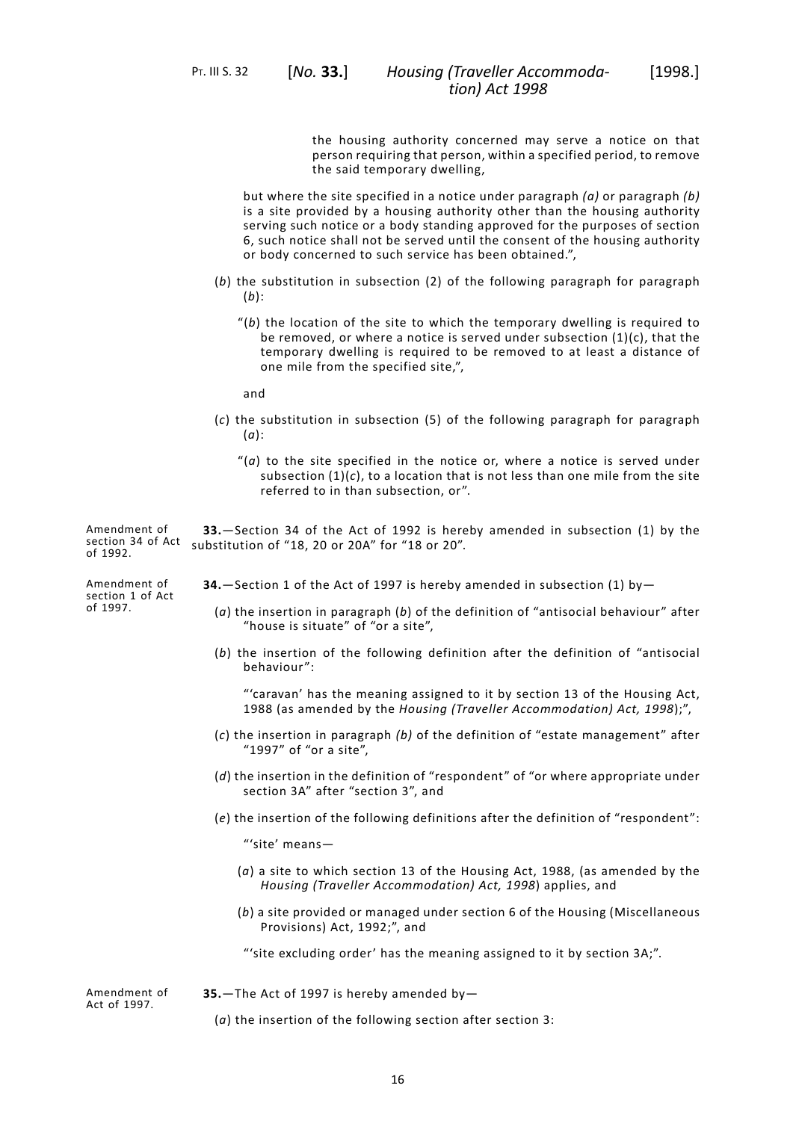the housing authority concerned may serve a notice on that person requiring that person, within a specified period, to remove the said temporary dwelling,

but where the site specified in a notice under paragraph *(a)* or paragraph *(b)* is a site provided by a housing authority other than the housing authority serving such notice or a body standing approved for the purposes of section 6, such notice shall not be served until the consent of the housing authority or body concerned to such service has been obtained.",

- (*b*) the substitution in subsection (2) of the following paragraph for paragraph (*b*):
	- "(*b*) the location of the site to which the temporary dwelling is required to be removed, or where a notice is served under subsection (1)(c), that the temporary dwelling is required to be removed to at least a distance of one mile from the specified site,",

and

- <span id="page-19-0"></span>(*c*) the substitution in subsection (5) of the following paragraph for paragraph (*a*):
	- "(*a*) to the site specified in the notice or, where a notice is served under subsection  $(1)(c)$ , to a location that is not less than one mile from the site referred to in than subsection, or".

Amendment of section 34 of Act substitution of "18, 20 or 20A" for "18 or 20". of 1992. **33.**—Section 34 of the Act of 1992 is hereby amended in subsection (1) by the

Amendment of section 1 of Act of 1997.

<span id="page-19-1"></span>**34.**—Section 1 of the Act of 1997 is hereby amended in subsection (1) by—

- (*a*) the insertion in paragraph (*b*) of the definition of "antisocial behaviour" after "house is situate" of "or a site",
- (*b*) the insertion of the following definition after the definition of "antisocial behaviour":

"'caravan' has the meaning assigned to it by section 13 of the Housing Act, 1988 (as amended by the *Housing (Traveller Accommodation) Act, 1998*);",

- (*c*) the insertion in paragraph *(b)* of the definition of "estate management" after "1997" of "or a site",
- (*d*) the insertion in the definition of "respondent" of "or where appropriate under section 3A" after "section 3", and
- (*e*) the insertion of the following definitions after the definition of "respondent":

"'site' means—

- (*a*) a site to which section 13 of the Housing Act, 1988, (as amended by the *Housing (Traveller Accommodation) Act, 1998*) applies, and
- <span id="page-19-2"></span>(*b*) a site provided or managed under section 6 of the Housing (Miscellaneous Provisions) Act, 1992;", and

"'site excluding order' has the meaning assigned to it by section 3A;".

Amendment of Act of 1997.

**35.**—The Act of 1997 is hereby amended by—

(*a*) the insertion of the following section after section 3: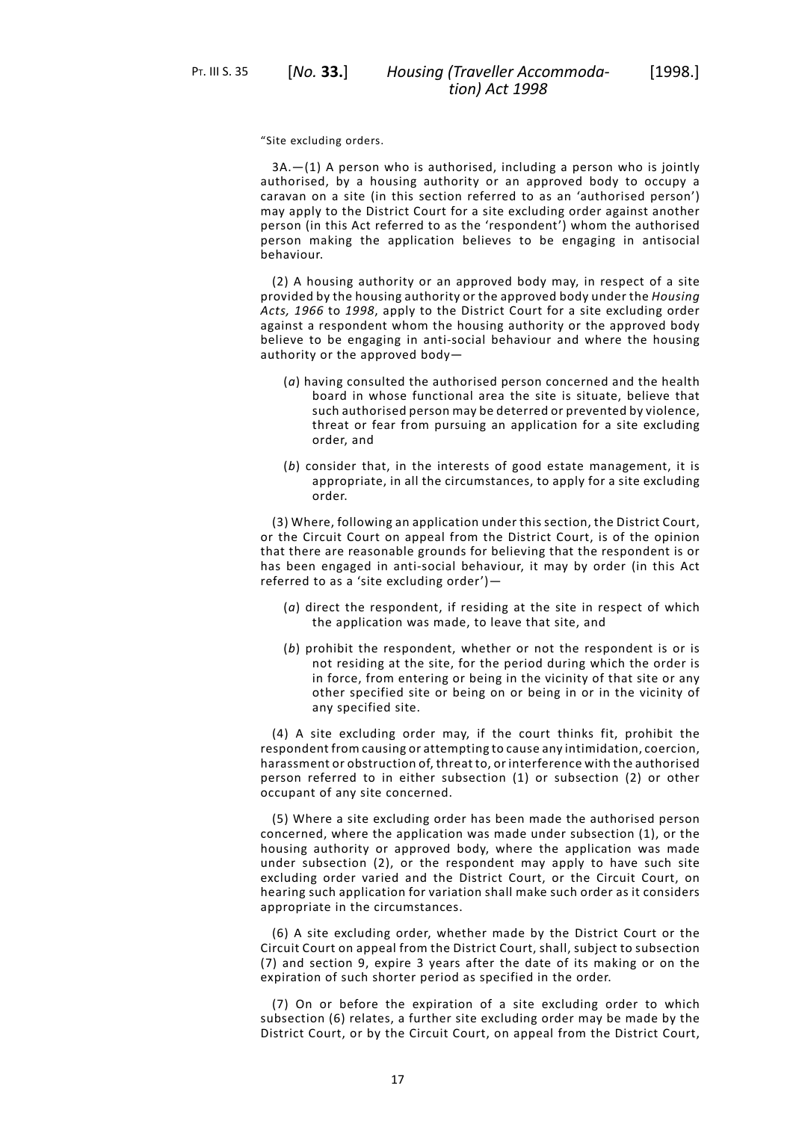"Site excluding orders.

 $3A.$   $-(1)$  A person who is authorised, including a person who is jointly authorised, by a housing authority or an approved body to occupy a caravan on a site (in this section referred to as an 'authorised person') may apply to the District Court for a site excluding order against another person (in this Act referred to as the 'respondent') whom the authorised person making the application believes to be engaging in antisocial behaviour.

*tion) Act 1998*

(2) A housing authority or an approved body may, in respect of a site provided by the housing authority or the approved body under the *Housing Acts, 1966* to *1998*, apply to the District Court for a site excluding order against a respondent whom the housing authority or the approved body believe to be engaging in anti-social behaviour and where the housing authority or the approved body—

- (*a*) having consulted the authorised person concerned and the health board in whose functional area the site is situate, believe that such authorised person may be deterred or prevented by violence, threat or fear from pursuing an application for a site excluding order, and
- (*b*) consider that, in the interests of good estate management, it is appropriate, in all the circumstances, to apply for a site excluding order.

(3) Where, following an application under this section, the District Court, or the Circuit Court on appeal from the District Court, is of the opinion that there are reasonable grounds for believing that the respondent is or has been engaged in anti-social behaviour, it may by order (in this Act referred to as a 'site excluding order')—

- (*a*) direct the respondent, if residing at the site in respect of which the application was made, to leave that site, and
- (*b*) prohibit the respondent, whether or not the respondent is or is not residing at the site, for the period during which the order is in force, from entering or being in the vicinity of that site or any other specified site or being on or being in or in the vicinity of any specified site.

(4) A site excluding order may, if the court thinks fit, prohibit the respondent from causing or attempting to cause any intimidation, coercion, harassment or obstruction of, threat to, or interference with the authorised person referred to in either subsection (1) or subsection (2) or other occupant of any site concerned.

(5) Where a site excluding order has been made the authorised person concerned, where the application was made under subsection (1), or the housing authority or approved body, where the application was made under subsection (2), or the respondent may apply to have such site excluding order varied and the District Court, or the Circuit Court, on hearing such application for variation shall make such order as it considers appropriate in the circumstances.

(6) A site excluding order, whether made by the District Court or the Circuit Court on appeal from the District Court, shall, subject to subsection (7) and section 9, expire 3 years after the date of its making or on the expiration of such shorter period as specified in the order.

(7) On or before the expiration of a site excluding order to which subsection (6) relates, a further site excluding order may be made by the District Court, or by the Circuit Court, on appeal from the District Court,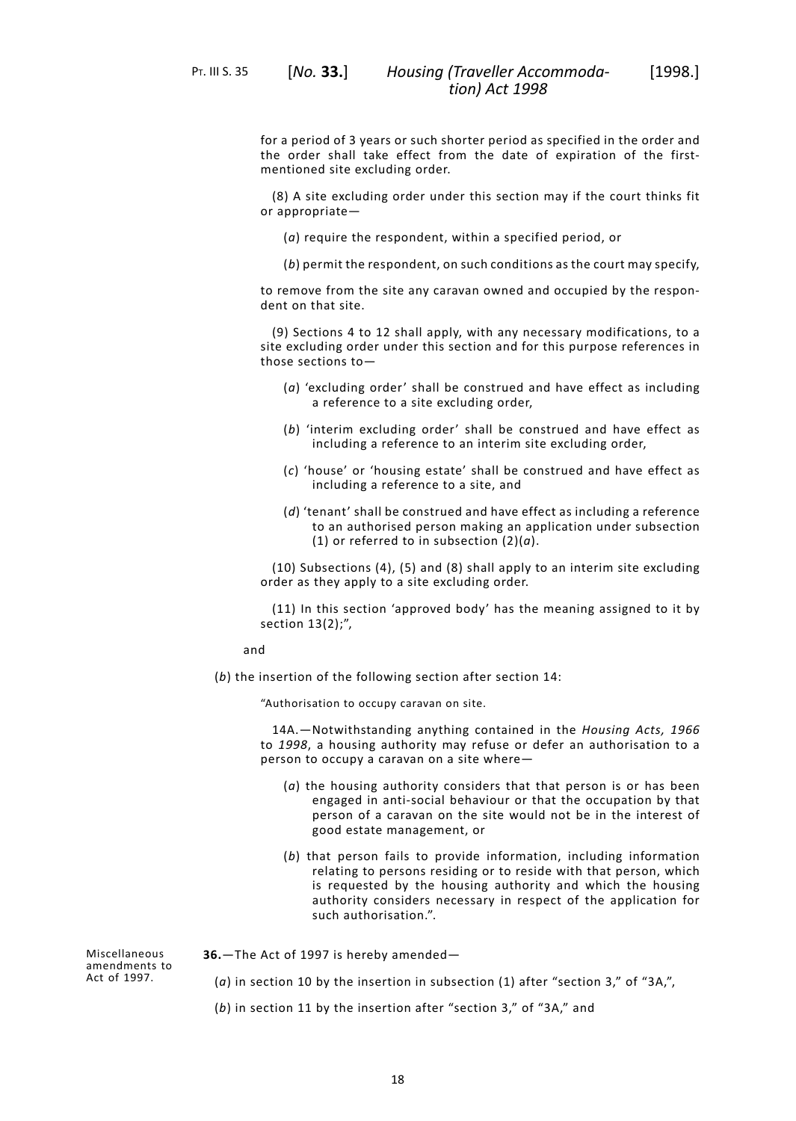PT. III S. 35 [*No.* **33.**]

for a period of 3 years or such shorter period as specified in the order and the order shall take effect from the date of expiration of the firstmentioned site excluding order.

(8) A site excluding order under this section may if the court thinks fit or appropriate—

- (*a*) require the respondent, within a specified period, or
- (*b*) permit the respondent, on such conditions as the court may specify,

to remove from the site any caravan owned and occupied by the respondent on that site.

(9) Sections 4 to 12 shall apply, with any necessary modifications, to a site excluding order under this section and for this purpose references in those sections to—

- (*a*) 'excluding order' shall be construed and have effect as including a reference to a site excluding order,
- (*b*) 'interim excluding order' shall be construed and have effect as including a reference to an interim site excluding order,
- (*c*) 'house' or 'housing estate' shall be construed and have effect as including a reference to a site, and
- (*d*) 'tenant' shall be construed and have effect as including a reference to an authorised person making an application under subsection (1) or referred to in subsection (2)(*a*).

(10) Subsections (4), (5) and (8) shall apply to an interim site excluding order as they apply to a site excluding order.

(11) In this section 'approved body' has the meaning assigned to it by section 13(2);",

and

(*b*) the insertion of the following section after section 14:

"Authorisation to occupy caravan on site.

14A.—Notwithstanding anything contained in the *Housing Acts, 1966* to *1998*, a housing authority may refuse or defer an authorisation to a person to occupy a caravan on a site where—

- (*a*) the housing authority considers that that person is or has been engaged in anti-social behaviour or that the occupation by that person of a caravan on the site would not be in the interest of good estate management, or
- (*b*) that person fails to provide information, including information relating to persons residing or to reside with that person, which is requested by the housing authority and which the housing authority considers necessary in respect of the application for such authorisation.".

<span id="page-21-0"></span>**36.**—The Act of 1997 is hereby amended—

- (*a*) in section 10 by the insertion in subsection (1) after "section 3," of "3A,",
- (*b*) in section 11 by the insertion after "section 3," of "3A," and

Miscellaneous amendments to Act of 1997.